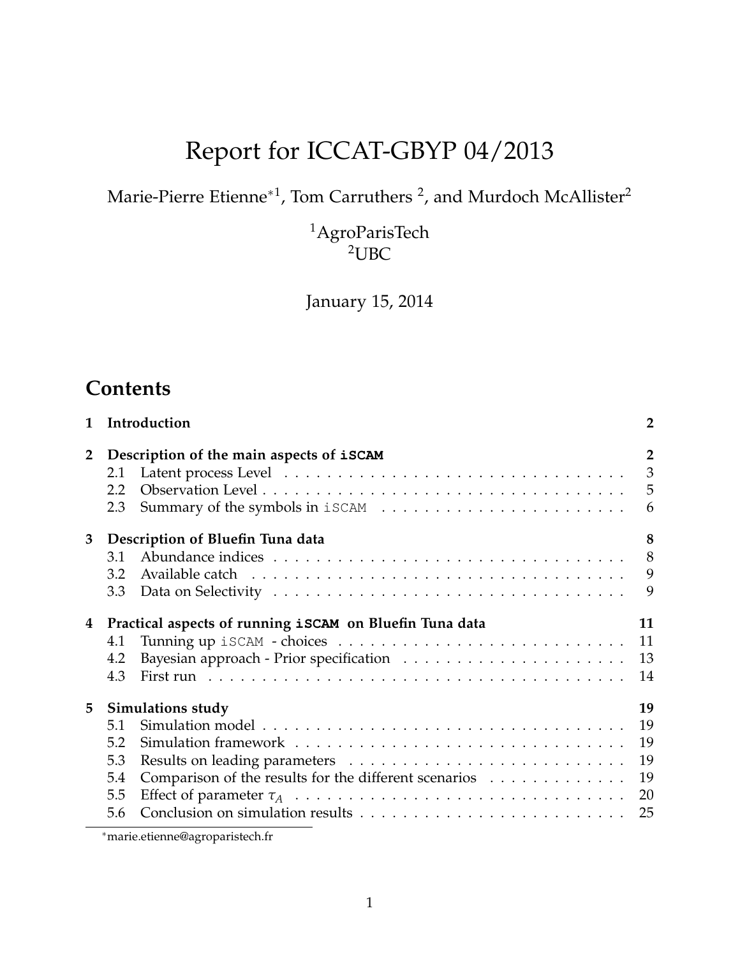# Report for ICCAT-GBYP 04/2013

Marie-Pierre Etienne $^{\ast1}$ , Tom Carruthers <sup>2</sup>, and Murdoch McAllister<sup>2</sup>

 $\rm ^1A groParisTech$ <sup>2</sup>UBC

January 15, 2014

# **Contents**

| Introduction<br>1 |                                                                                                                             |                                        |  |  |  |  |
|-------------------|-----------------------------------------------------------------------------------------------------------------------------|----------------------------------------|--|--|--|--|
| $\overline{2}$    | Description of the main aspects of iSCAM<br>2.1<br>2.2<br>2.3                                                               | $\overline{2}$<br>$\mathfrak{Z}$<br>6  |  |  |  |  |
| 3                 | Description of Bluefin Tuna data<br>3.1<br>3.2<br>3.3                                                                       | 8<br>8<br>9<br>9                       |  |  |  |  |
| 4                 | Practical aspects of running iSCAM on Bluefin Tuna data<br>4.1<br>4.2<br>4.3                                                | 11<br>11<br>13<br>14                   |  |  |  |  |
| 5                 | <b>Simulations study</b><br>5.1<br>5.2<br>5.3<br>Comparison of the results for the different scenarios<br>5.4<br>5.5<br>5.6 | 19<br>19<br>19<br>19<br>19<br>20<br>25 |  |  |  |  |

<sup>∗</sup>marie.etienne@agroparistech.fr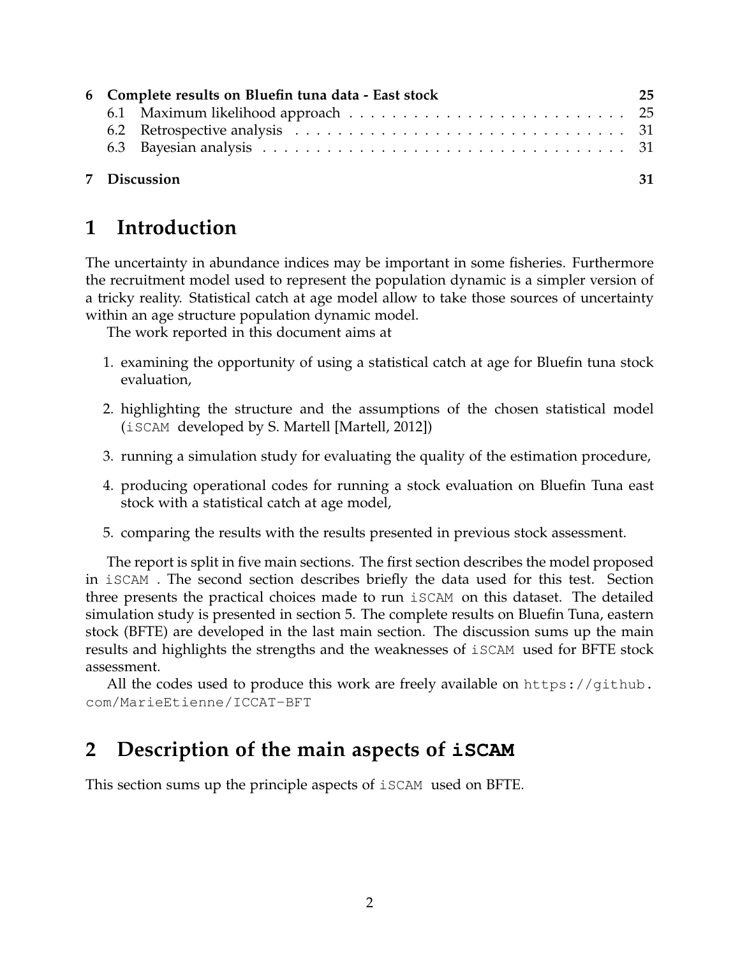|  |  | 6 Complete results on Bluefin tuna data - East stock |  |  |  |  |  |
|--|--|------------------------------------------------------|--|--|--|--|--|
|  |  |                                                      |  |  |  |  |  |
|  |  |                                                      |  |  |  |  |  |
|  |  |                                                      |  |  |  |  |  |
|  |  | 7 Discussion                                         |  |  |  |  |  |

# **1 Introduction**

The uncertainty in abundance indices may be important in some fisheries. Furthermore the recruitment model used to represent the population dynamic is a simpler version of a tricky reality. Statistical catch at age model allow to take those sources of uncertainty within an age structure population dynamic model.

The work reported in this document aims at

- 1. examining the opportunity of using a statistical catch at age for Bluefin tuna stock evaluation,
- 2. highlighting the structure and the assumptions of the chosen statistical model (iSCAM developed by S. Martell [Martell, 2012])
- 3. running a simulation study for evaluating the quality of the estimation procedure,
- 4. producing operational codes for running a stock evaluation on Bluefin Tuna east stock with a statistical catch at age model,
- 5. comparing the results with the results presented in previous stock assessment.

The report is split in five main sections. The first section describes the model proposed in iSCAM . The second section describes briefly the data used for this test. Section three presents the practical choices made to run iSCAM on this dataset. The detailed simulation study is presented in section 5. The complete results on Bluefin Tuna, eastern stock (BFTE) are developed in the last main section. The discussion sums up the main results and highlights the strengths and the weaknesses of iSCAM used for BFTE stock assessment.

All the codes used to produce this work are freely available on https://github. com/MarieEtienne/ICCAT-BFT

# **2 Description of the main aspects of iSCAM**

This section sums up the principle aspects of iSCAM used on BFTE.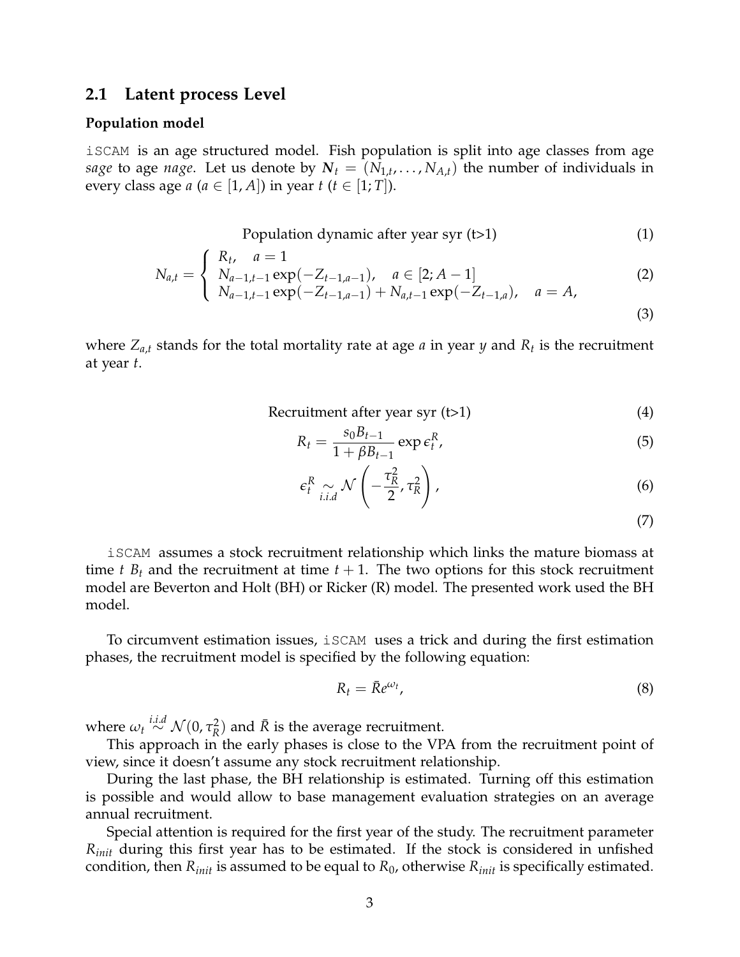#### **2.1 Latent process Level**

#### **Population model**

iSCAM is an age structured model. Fish population is split into age classes from age *sage* to age *nage*. Let us denote by  $N_t = (N_{1,t}, \ldots, N_{A,t})$  the number of individuals in every class age  $a$  ( $a \in [1, A]$ ) in year  $t$  ( $t \in [1, T]$ ).

Population dynamic after year syr  $(t>1)$  (1)

$$
N_{a,t} = \begin{cases} R_t, & a = 1\\ N_{a-1,t-1} \exp(-Z_{t-1,a-1}), & a \in [2; A-1] \\ N_{a-1,t-1} \exp(-Z_{t-1,a-1}) + N_{a,t-1} \exp(-Z_{t-1,a}), & a = A, \end{cases}
$$
(2)

(3)

where *Za*,*<sup>t</sup>* stands for the total mortality rate at age *a* in year *y* and *R<sup>t</sup>* is the recruitment at year *t*.

Recruitment after year 
$$
(t>1)
$$
 (4)

$$
R_t = \frac{s_0 B_{t-1}}{1 + \beta B_{t-1}} \exp \epsilon_t^R,
$$
\n
$$
\tag{5}
$$

$$
\epsilon_t^R \underset{i.i.d}{\sim} \mathcal{N}\left(-\frac{\tau_R^2}{2}, \tau_R^2\right),\tag{6}
$$

(7)

iSCAM assumes a stock recruitment relationship which links the mature biomass at time *t*  $B_t$  and the recruitment at time  $t + 1$ . The two options for this stock recruitment model are Beverton and Holt (BH) or Ricker (R) model. The presented work used the BH model.

To circumvent estimation issues, iSCAM uses a trick and during the first estimation phases, the recruitment model is specified by the following equation:

$$
R_t = \bar{R}e^{\omega_t},\tag{8}
$$

where  $\omega_t \stackrel{i.i.d}{\sim} \mathcal{N}(0,\tau_R^2)$  $R^2$ ) and  $\bar{R}$  is the average recruitment.

This approach in the early phases is close to the VPA from the recruitment point of view, since it doesn't assume any stock recruitment relationship.

During the last phase, the BH relationship is estimated. Turning off this estimation is possible and would allow to base management evaluation strategies on an average annual recruitment.

Special attention is required for the first year of the study. The recruitment parameter *Rinit* during this first year has to be estimated. If the stock is considered in unfished condition, then *Rinit* is assumed to be equal to *R*0, otherwise *Rinit* is specifically estimated.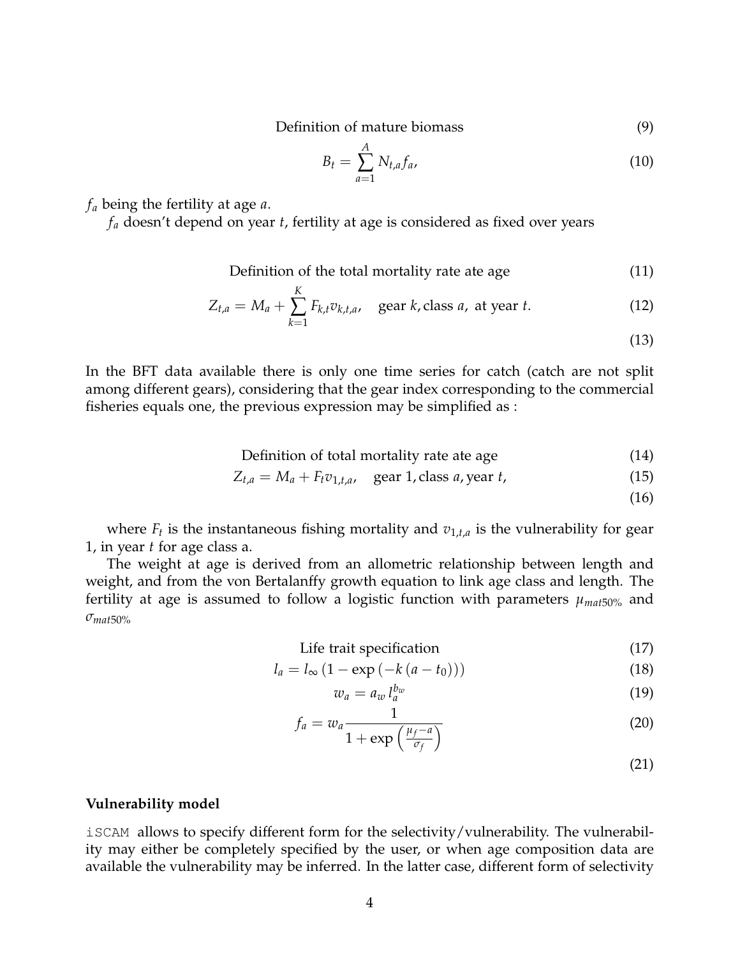Definition of mature biomass (9)

$$
B_t = \sum_{a=1}^A N_{t,a} f_a, \qquad (10)
$$

*f<sup>a</sup>* being the fertility at age *a*.

*f<sup>a</sup>* doesn't depend on year *t*, fertility at age is considered as fixed over years

*A*

Definition of the total mortality rate ate age (11)

$$
Z_{t,a} = M_a + \sum_{k=1}^{K} F_{k,t} v_{k,t,a}, \quad \text{gear } k \text{, class } a \text{, at year } t. \tag{12}
$$

(13)

In the BFT data available there is only one time series for catch (catch are not split among different gears), considering that the gear index corresponding to the commercial fisheries equals one, the previous expression may be simplified as :

Definition of total mortality rate ate age (14)

$$
Z_{t,a} = M_a + F_t v_{1,t,a}, \quad \text{gear 1, class } a, \text{year } t,
$$
\n
$$
(15)
$$

(16)

where  $F_t$  is the instantaneous fishing mortality and  $v_{1,t,a}$  is the vulnerability for gear 1, in year *t* for age class a.

The weight at age is derived from an allometric relationship between length and weight, and from the von Bertalanffy growth equation to link age class and length. The fertility at age is assumed to follow a logistic function with parameters  $\mu_{mat50\%}$  and *σmat*50%

Life trait specification (17)

$$
l_a = l_{\infty} \left( 1 - \exp\left( -k \left( a - t_0 \right) \right) \right) \tag{18}
$$

$$
w_a = a_w l_a^{b_w} \tag{19}
$$

$$
f_a = w_a \frac{1}{1 + \exp\left(\frac{\mu_f - a}{\sigma_f}\right)}\tag{20}
$$

(21)

#### **Vulnerability model**

iSCAM allows to specify different form for the selectivity/vulnerability. The vulnerability may either be completely specified by the user, or when age composition data are available the vulnerability may be inferred. In the latter case, different form of selectivity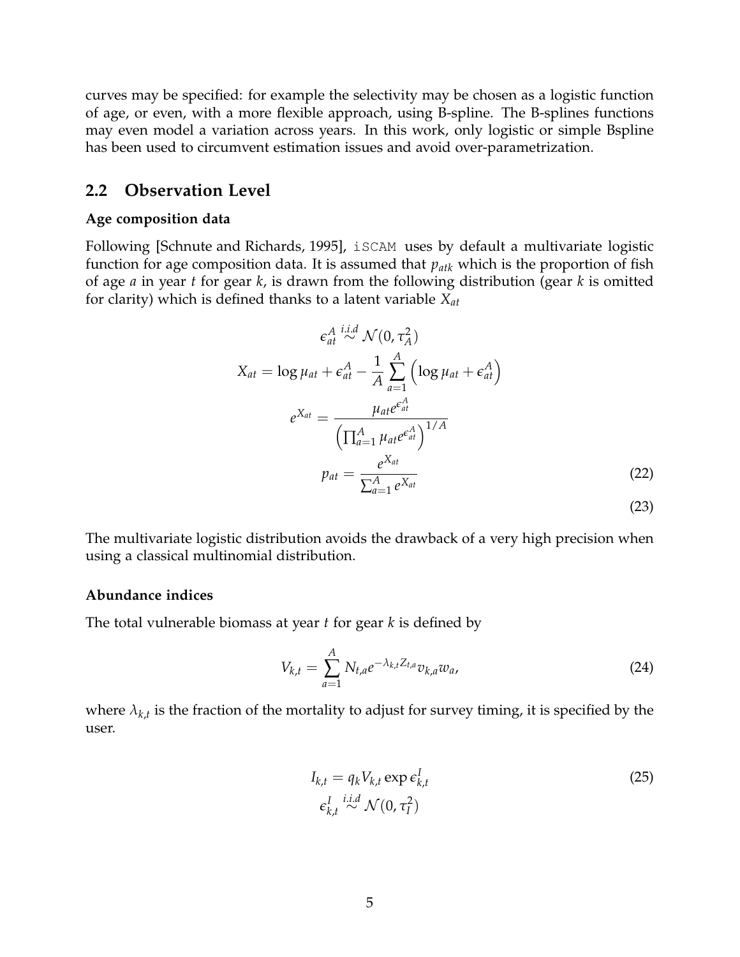curves may be specified: for example the selectivity may be chosen as a logistic function of age, or even, with a more flexible approach, using B-spline. The B-splines functions may even model a variation across years. In this work, only logistic or simple Bspline has been used to circumvent estimation issues and avoid over-parametrization.

### **2.2 Observation Level**

#### **Age composition data**

Following [Schnute and Richards, 1995], iSCAM uses by default a multivariate logistic function for age composition data. It is assumed that *patk* which is the proportion of fish of age *a* in year *t* for gear *k*, is drawn from the following distribution (gear *k* is omitted for clarity) which is defined thanks to a latent variable *Xat*

$$
\epsilon_{at}^{A} \stackrel{i.i.d}{\sim} \mathcal{N}(0, \tau_A^2)
$$
  
\n
$$
X_{at} = \log \mu_{at} + \epsilon_{at}^A - \frac{1}{A} \sum_{a=1}^A \left( \log \mu_{at} + \epsilon_{at}^A \right)
$$
  
\n
$$
e^{X_{at}} = \frac{\mu_{at} e^{\epsilon_{at}^A}}{\left( \prod_{a=1}^A \mu_{at} e^{\epsilon_{at}^A} \right)^{1/A}}
$$
  
\n
$$
p_{at} = \frac{e^{X_{at}}}{\sum_{a=1}^A e^{X_{at}}} \tag{22}
$$

The multivariate logistic distribution avoids the drawback of a very high precision when using a classical multinomial distribution.

#### **Abundance indices**

The total vulnerable biomass at year *t* for gear *k* is defined by

$$
V_{k,t} = \sum_{a=1}^{A} N_{t,a} e^{-\lambda_{k,t} Z_{t,a}} v_{k,a} w_a,
$$
 (24)

where  $\lambda_{k,t}$  is the fraction of the mortality to adjust for survey timing, it is specified by the user.

$$
I_{k,t} = q_k V_{k,t} \exp \epsilon_{k,t}^I
$$
  
\n
$$
\epsilon_{k,t}^I \stackrel{i.i.d}{\sim} \mathcal{N}(0, \tau_I^2)
$$
\n(25)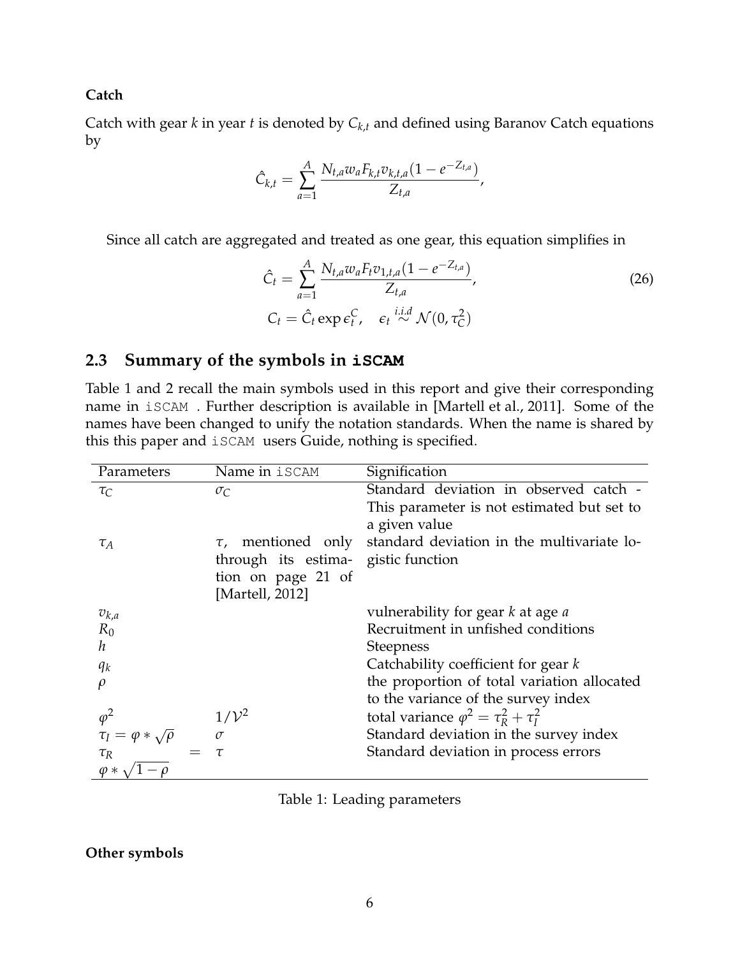#### **Catch**

Catch with gear *k* in year *t* is denoted by *Ck*,*<sup>t</sup>* and defined using Baranov Catch equations by

$$
\hat{C}_{k,t} = \sum_{a=1}^{A} \frac{N_{t,a} w_a F_{k,t} v_{k,t,a} (1 - e^{-Z_{t,a}})}{Z_{t,a}},
$$

Since all catch are aggregated and treated as one gear, this equation simplifies in

$$
\hat{C}_t = \sum_{a=1}^A \frac{N_{t,a} w_a F_t v_{1,t,a} (1 - e^{-Z_{t,a}})}{Z_{t,a}},
$$
\n
$$
C_t = \hat{C}_t \exp \epsilon_t^C, \quad \epsilon_t \stackrel{i.i.d}{\sim} \mathcal{N}(0, \tau_C^2)
$$
\n(26)

### **2.3 Summary of the symbols in iSCAM**

Table 1 and 2 recall the main symbols used in this report and give their corresponding name in iSCAM . Further description is available in [Martell et al., 2011]. Some of the names have been changed to unify the notation standards. When the name is shared by this this paper and iSCAM users Guide, nothing is specified.

| Parameters                       | Name in iSCAM           | Signification                                    |
|----------------------------------|-------------------------|--------------------------------------------------|
| $\tau_C$                         | $\sigma_C$              | Standard deviation in observed catch -           |
|                                  |                         | This parameter is not estimated but set to       |
|                                  |                         | a given value                                    |
| $\tau_A$                         | $\tau$ , mentioned only | standard deviation in the multivariate lo-       |
|                                  | through its estima-     | gistic function                                  |
|                                  | tion on page 21 of      |                                                  |
|                                  | [Martell, 2012]         |                                                  |
| $v_{k,a}$                        |                         | vulnerability for gear k at age a                |
| $R_0$                            |                         | Recruitment in unfished conditions               |
| h                                |                         | <b>Steepness</b>                                 |
| $q_k$                            |                         | Catchability coefficient for gear $k$            |
|                                  |                         | the proportion of total variation allocated      |
|                                  |                         | to the variance of the survey index              |
| $\varphi^2$                      | $1/\mathcal{V}^2$       | total variance $\varphi^2 = \tau_R^2 + \tau_I^2$ |
| $\tau_I = \varphi * \sqrt{\rho}$ | $\sigma$                | Standard deviation in the survey index           |
| $\tau_R$                         | $\tau$                  | Standard deviation in process errors             |
| $\varphi *$                      |                         |                                                  |

|  |  |  | Table 1: Leading parameters |
|--|--|--|-----------------------------|
|--|--|--|-----------------------------|

#### **Other symbols**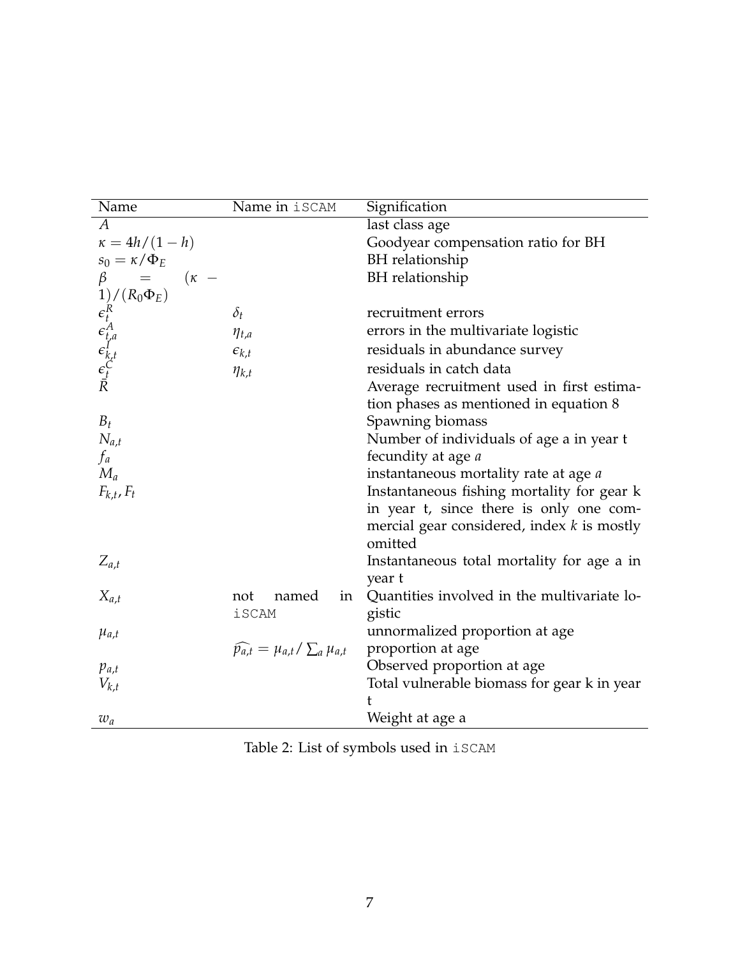| Name                                                                                                                       | Name in iSCAM                                      | Signification                                |
|----------------------------------------------------------------------------------------------------------------------------|----------------------------------------------------|----------------------------------------------|
| $\overline{A}$                                                                                                             |                                                    | last class age                               |
| $\kappa = 4h/(1-h)$                                                                                                        |                                                    | Goodyear compensation ratio for BH           |
| $s_0 = \kappa/\Phi_E$                                                                                                      |                                                    | BH relationship                              |
| $\equiv$<br>$(\kappa -$<br>$\beta$                                                                                         |                                                    | <b>BH</b> relationship                       |
| $P$ $(\epsilon_R^R)$<br>$\epsilon_R^R$<br>$\epsilon_{t,a}^R$<br>$\epsilon_{k,t}^I$<br>$\epsilon_{t}^C$<br>$\epsilon_{t}^C$ |                                                    |                                              |
|                                                                                                                            | $\delta_t$                                         | recruitment errors                           |
|                                                                                                                            | $\eta_{t,a}$                                       | errors in the multivariate logistic          |
|                                                                                                                            | $\epsilon_{k,t}$                                   | residuals in abundance survey                |
|                                                                                                                            | $\eta_{k,t}$                                       | residuals in catch data                      |
|                                                                                                                            |                                                    | Average recruitment used in first estima-    |
|                                                                                                                            |                                                    | tion phases as mentioned in equation 8       |
| $B_t$                                                                                                                      |                                                    | Spawning biomass                             |
| $N_{a,t}$                                                                                                                  |                                                    | Number of individuals of age a in year t     |
| $f_a$                                                                                                                      |                                                    | fecundity at age <i>a</i>                    |
| $M_a$                                                                                                                      |                                                    | instantaneous mortality rate at age a        |
| $F_{k,t}$ , $F_t$                                                                                                          |                                                    | Instantaneous fishing mortality for gear k   |
|                                                                                                                            |                                                    | in year t, since there is only one com-      |
|                                                                                                                            |                                                    | mercial gear considered, index $k$ is mostly |
|                                                                                                                            |                                                    | omitted                                      |
| $Z_{a,t}$                                                                                                                  |                                                    | Instantaneous total mortality for age a in   |
|                                                                                                                            |                                                    | year t                                       |
| $X_{a,t}$                                                                                                                  | named<br>not<br>in                                 | Quantities involved in the multivariate lo-  |
|                                                                                                                            | <i>iSCAM</i>                                       | gistic                                       |
| $\mu_{a,t}$                                                                                                                |                                                    | unnormalized proportion at age               |
|                                                                                                                            | $\widehat{p_{a,t}} = \mu_{a,t} / \sum_a \mu_{a,t}$ | proportion at age                            |
| $p_{a,t}$                                                                                                                  |                                                    | Observed proportion at age                   |
| $V_{k,t}$                                                                                                                  |                                                    | Total vulnerable biomass for gear k in year  |
|                                                                                                                            |                                                    | ŧ                                            |
| $w_a$                                                                                                                      |                                                    | Weight at age a                              |

Table 2: List of symbols used in iSCAM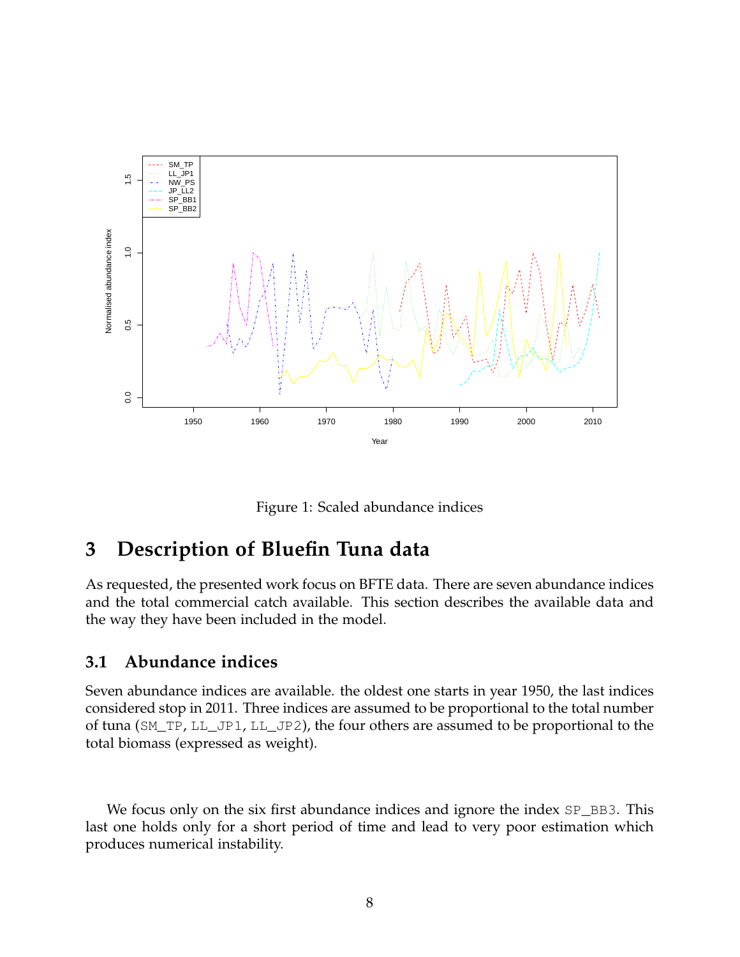

Figure 1: Scaled abundance indices

# **3 Description of Bluefin Tuna data**

As requested, the presented work focus on BFTE data. There are seven abundance indices and the total commercial catch available. This section describes the available data and the way they have been included in the model.

### **3.1 Abundance indices**

Seven abundance indices are available. the oldest one starts in year 1950, the last indices considered stop in 2011. Three indices are assumed to be proportional to the total number of tuna (SM\_TP, LL\_JP1, LL\_JP2), the four others are assumed to be proportional to the total biomass (expressed as weight).

We focus only on the six first abundance indices and ignore the index  $SP_{BB}3$ . This last one holds only for a short period of time and lead to very poor estimation which produces numerical instability.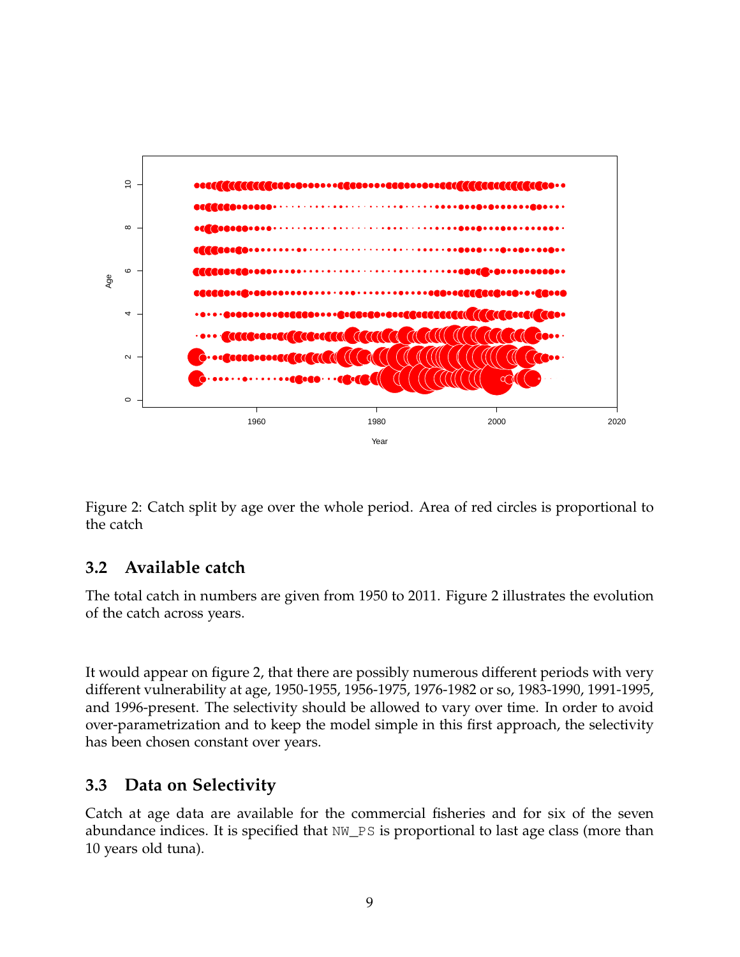

Figure 2: Catch split by age over the whole period. Area of red circles is proportional to the catch

# **3.2 Available catch**

The total catch in numbers are given from 1950 to 2011. Figure 2 illustrates the evolution of the catch across years.

It would appear on figure 2, that there are possibly numerous different periods with very different vulnerability at age, 1950-1955, 1956-1975, 1976-1982 or so, 1983-1990, 1991-1995, and 1996-present. The selectivity should be allowed to vary over time. In order to avoid over-parametrization and to keep the model simple in this first approach, the selectivity has been chosen constant over years.

# **3.3 Data on Selectivity**

Catch at age data are available for the commercial fisheries and for six of the seven abundance indices. It is specified that NW\_PS is proportional to last age class (more than 10 years old tuna).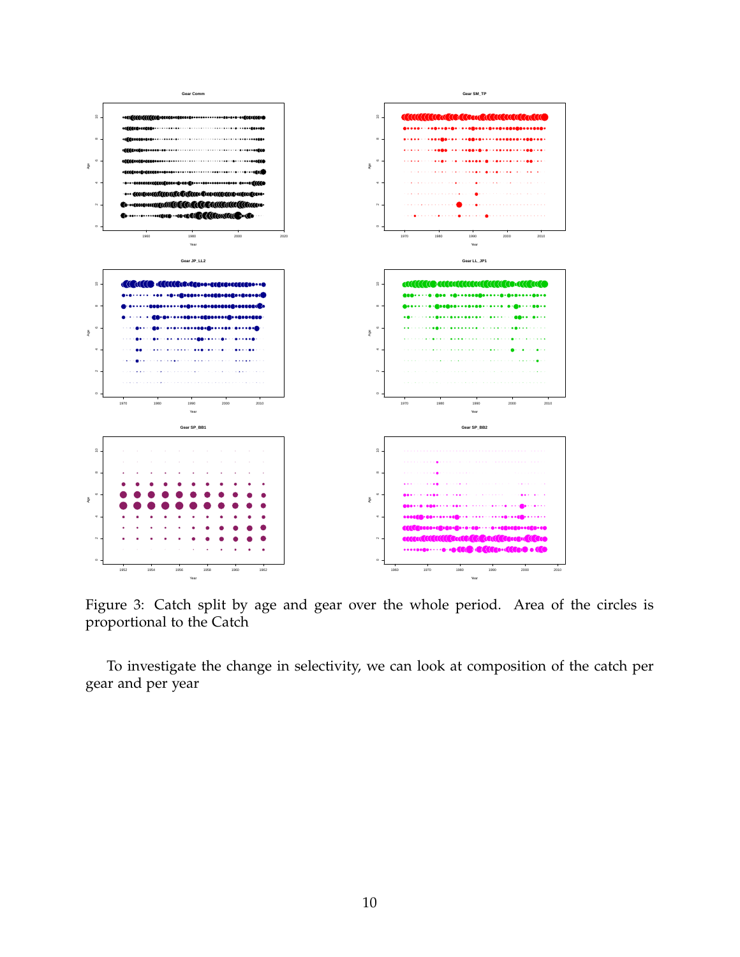

Figure 3: Catch split by age and gear over the whole period. Area of the circles is proportional to the Catch

To investigate the change in selectivity, we can look at composition of the catch per gear and per year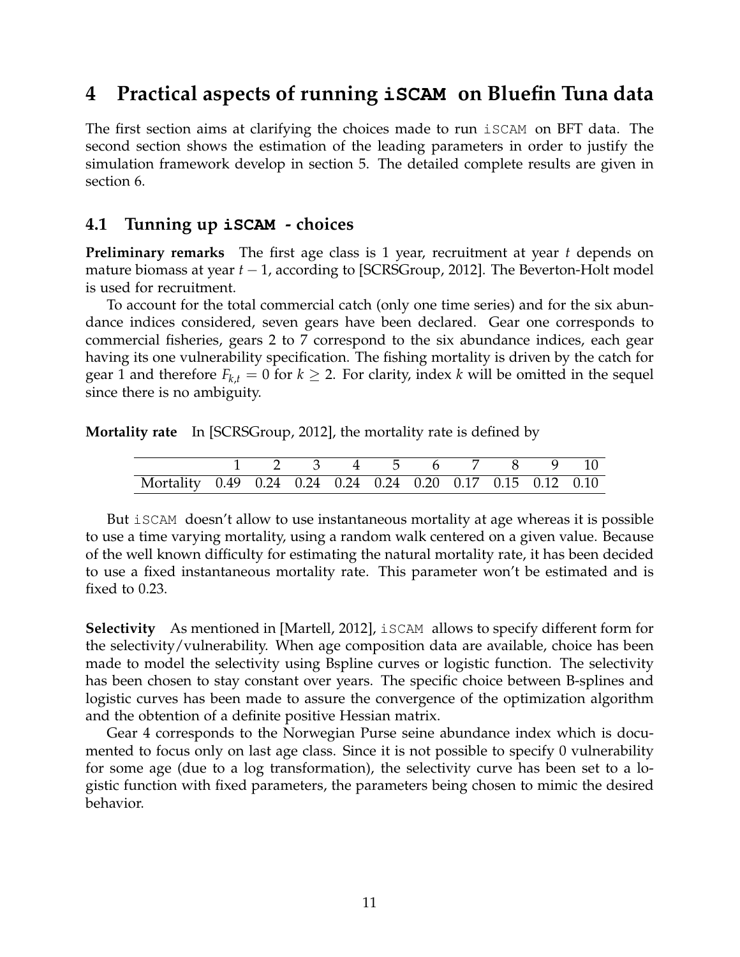# **4 Practical aspects of running iSCAM on Bluefin Tuna data**

The first section aims at clarifying the choices made to run iSCAM on BFT data. The second section shows the estimation of the leading parameters in order to justify the simulation framework develop in section 5. The detailed complete results are given in section 6.

### **4.1 Tunning up iSCAM - choices**

**Preliminary remarks** The first age class is 1 year, recruitment at year *t* depends on mature biomass at year *t* − 1, according to [SCRSGroup, 2012]. The Beverton-Holt model is used for recruitment.

To account for the total commercial catch (only one time series) and for the six abundance indices considered, seven gears have been declared. Gear one corresponds to commercial fisheries, gears 2 to 7 correspond to the six abundance indices, each gear having its one vulnerability specification. The fishing mortality is driven by the catch for gear 1 and therefore  $F_{k,t} = 0$  for  $k \geq 2$ . For clarity, index k will be omitted in the sequel since there is no ambiguity.

**Mortality rate** In [SCRSGroup, 2012], the mortality rate is defined by

|                                                             | 1 2 3 4 5 6 7 8 9 10 |  |  |  |  |
|-------------------------------------------------------------|----------------------|--|--|--|--|
| Mortality 0.49 0.24 0.24 0.24 0.24 0.20 0.17 0.15 0.12 0.10 |                      |  |  |  |  |

But iSCAM doesn't allow to use instantaneous mortality at age whereas it is possible to use a time varying mortality, using a random walk centered on a given value. Because of the well known difficulty for estimating the natural mortality rate, it has been decided to use a fixed instantaneous mortality rate. This parameter won't be estimated and is fixed to 0.23.

**Selectivity** As mentioned in [Martell, 2012], iSCAM allows to specify different form for the selectivity/vulnerability. When age composition data are available, choice has been made to model the selectivity using Bspline curves or logistic function. The selectivity has been chosen to stay constant over years. The specific choice between B-splines and logistic curves has been made to assure the convergence of the optimization algorithm and the obtention of a definite positive Hessian matrix.

Gear 4 corresponds to the Norwegian Purse seine abundance index which is documented to focus only on last age class. Since it is not possible to specify 0 vulnerability for some age (due to a log transformation), the selectivity curve has been set to a logistic function with fixed parameters, the parameters being chosen to mimic the desired behavior.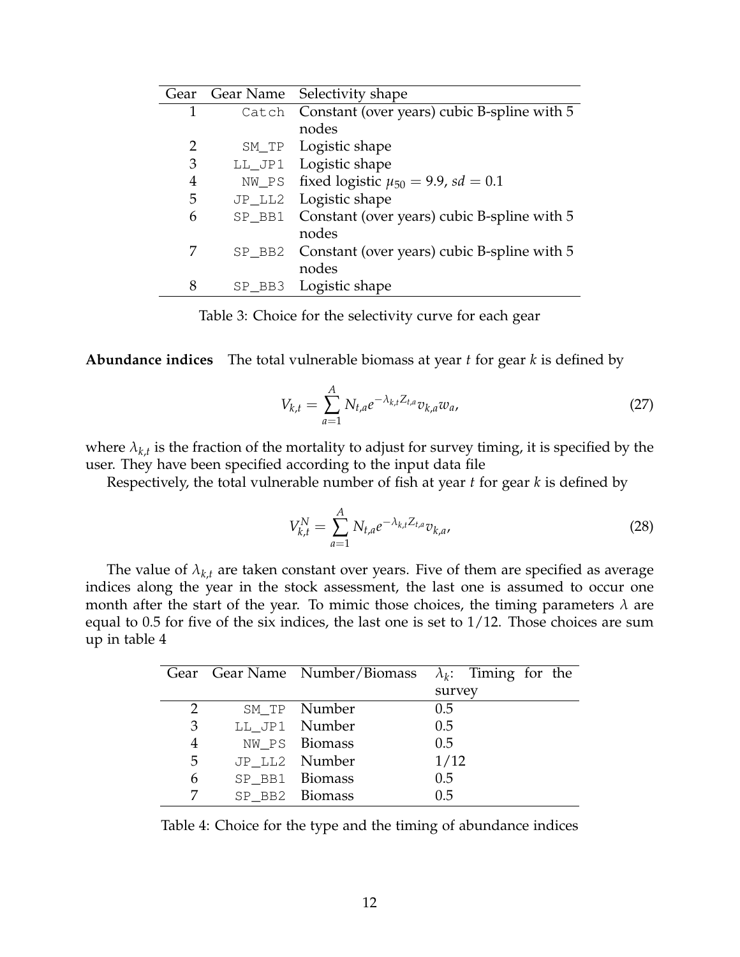| Gear |           | Gear Name Selectivity shape                       |
|------|-----------|---------------------------------------------------|
| 1    |           | Catch Constant (over years) cubic B-spline with 5 |
|      |           | nodes                                             |
| 2    |           | SM_TP Logistic shape                              |
| 3    |           | LL_JP1 Logistic shape                             |
| 4    | NW_PS     | fixed logistic $\mu_{50} = 9.9$ , sd = 0.1        |
| 5    | $JP$ _LL2 | Logistic shape                                    |
| 6    | SP_BB1    | Constant (over years) cubic B-spline with 5       |
|      |           | nodes                                             |
| 7    | $SP_$ BB2 | Constant (over years) cubic B-spline with 5       |
|      |           | nodes                                             |
| 8    |           | SP_BB3 Logistic shape                             |

Table 3: Choice for the selectivity curve for each gear

**Abundance indices** The total vulnerable biomass at year *t* for gear *k* is defined by

$$
V_{k,t} = \sum_{a=1}^{A} N_{t,a} e^{-\lambda_{k,t} Z_{t,a}} v_{k,a} w_a,
$$
 (27)

where  $\lambda_{k,t}$  is the fraction of the mortality to adjust for survey timing, it is specified by the user. They have been specified according to the input data file

Respectively, the total vulnerable number of fish at year *t* for gear *k* is defined by

$$
V_{k,t}^N = \sum_{a=1}^A N_{t,a} e^{-\lambda_{k,t} Z_{t,a}} v_{k,a},
$$
 (28)

The value of  $\lambda_{k,t}$  are taken constant over years. Five of them are specified as average indices along the year in the stock assessment, the last one is assumed to occur one month after the start of the year. To mimic those choices, the timing parameters  $\lambda$  are equal to 0.5 for five of the six indices, the last one is set to 1/12. Those choices are sum up in table 4

|   |                | Gear Gear Name Number/Biomass $\lambda_k$ : Timing for the |
|---|----------------|------------------------------------------------------------|
|   |                | survey                                                     |
| 2 | SM_TP Number   | 0.5                                                        |
| 3 | LL JP1 Number  | 0.5                                                        |
| 4 | NW PS Biomass  | 0.5                                                        |
| 5 | JP LL2 Number  | 1/12                                                       |
| 6 | SP BB1 Biomass | 0.5                                                        |
|   | SP BB2 Biomass | 0.5                                                        |

Table 4: Choice for the type and the timing of abundance indices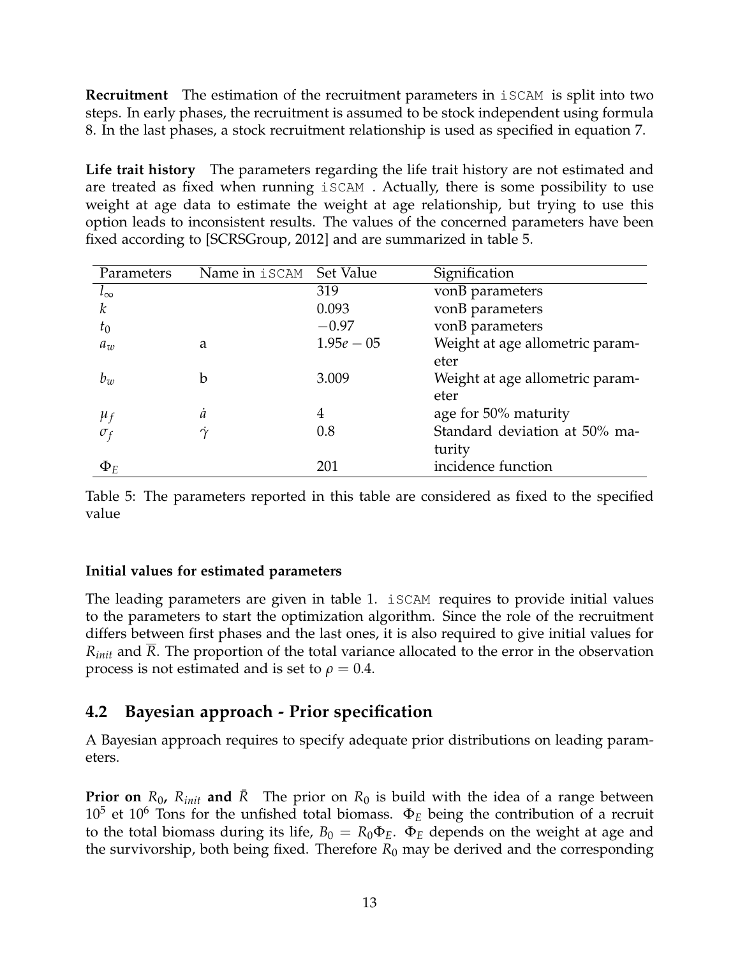**Recruitment** The estimation of the recruitment parameters in iSCAM is split into two steps. In early phases, the recruitment is assumed to be stock independent using formula 8. In the last phases, a stock recruitment relationship is used as specified in equation 7.

**Life trait history** The parameters regarding the life trait history are not estimated and are treated as fixed when running iSCAM . Actually, there is some possibility to use weight at age data to estimate the weight at age relationship, but trying to use this option leads to inconsistent results. The values of the concerned parameters have been fixed according to [SCRSGroup, 2012] and are summarized in table 5.

| Parameters   | Name in iSCAM | Set Value    | Signification                   |
|--------------|---------------|--------------|---------------------------------|
| $l_{\infty}$ |               | 319          | vonB parameters                 |
| k            |               | 0.093        | vonB parameters                 |
| $t_0$        |               | $-0.97$      | vonB parameters                 |
| $a_w$        | a             | $1.95e - 05$ | Weight at age allometric param- |
|              |               |              | eter                            |
| $b_w$        | b             | 3.009        | Weight at age allometric param- |
|              |               |              | eter                            |
| $\mu_f$      | $\dot{a}$     | 4            | age for 50% maturity            |
| $\sigma_f$   | $\gamma$      | 0.8          | Standard deviation at 50% ma-   |
|              |               |              | turity                          |
| $\Phi_F$     |               | 201          | incidence function              |

Table 5: The parameters reported in this table are considered as fixed to the specified value

### **Initial values for estimated parameters**

The leading parameters are given in table 1. iSCAM requires to provide initial values to the parameters to start the optimization algorithm. Since the role of the recruitment differs between first phases and the last ones, it is also required to give initial values for *Rinit* and *R*. The proportion of the total variance allocated to the error in the observation process is not estimated and is set to  $\rho = 0.4$ .

# **4.2 Bayesian approach - Prior specification**

A Bayesian approach requires to specify adequate prior distributions on leading parameters.

**Prior on**  $R_0$ ,  $R_{init}$  and  $R$  The prior on  $R_0$  is build with the idea of a range between  $10^5$  et  $10^6$  Tons for the unfished total biomass.  $\Phi_E$  being the contribution of a recruit to the total biomass during its life,  $B_0 = R_0 \Phi_E$ .  $\Phi_E$  depends on the weight at age and the survivorship, both being fixed. Therefore  $R_0$  may be derived and the corresponding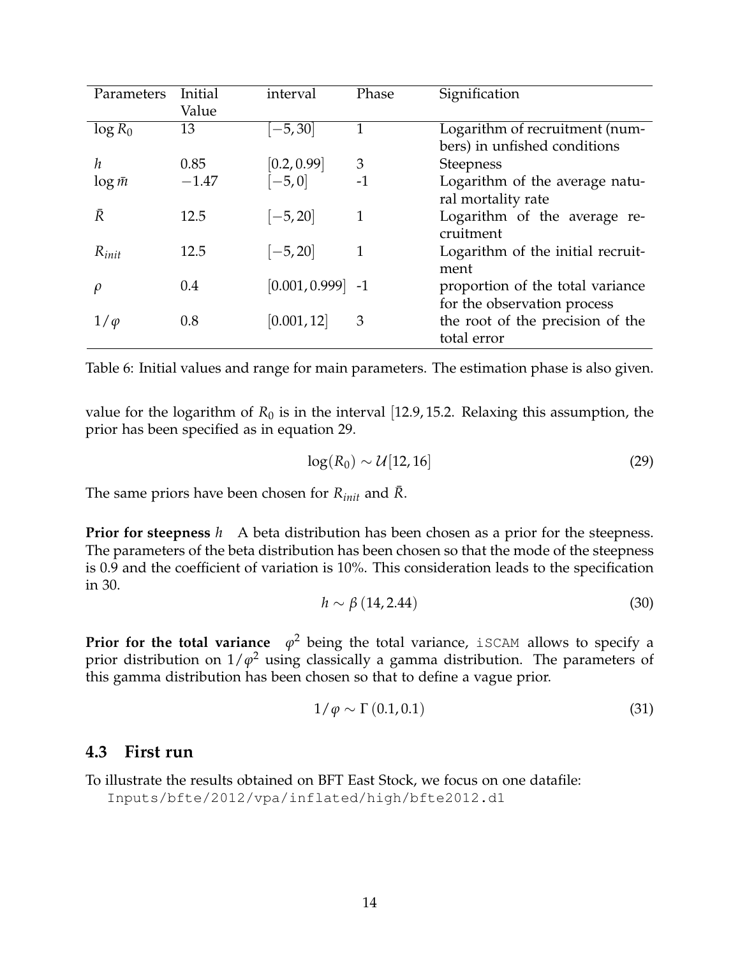| Parameters     | Initial | interval            | Phase | Signification                     |
|----------------|---------|---------------------|-------|-----------------------------------|
|                | Value   |                     |       |                                   |
| $\log R_0$     | 13      | $[-5, 30]$          | 1     | Logarithm of recruitment (num-    |
|                |         |                     |       | bers) in unfished conditions      |
| h              | 0.85    | [0.2, 0.99]         | 3     | <b>Steepness</b>                  |
| $\log \bar{m}$ | $-1.47$ | $[-5, 0]$           | $-1$  | Logarithm of the average natu-    |
|                |         |                     |       | ral mortality rate                |
| Ŕ              | 12.5    | $[-5, 20]$          | 1     | Logarithm of the average re-      |
|                |         |                     |       | cruitment                         |
| $R_{init}$     | 12.5    | $[-5, 20]$          | 1     | Logarithm of the initial recruit- |
|                |         |                     |       | ment                              |
| $\varrho$      | 0.4     | $[0.001, 0.999]$ -1 |       | proportion of the total variance  |
|                |         |                     |       | for the observation process       |
| $1/\varphi$    | 0.8     | [0.001, 12]         | 3     | the root of the precision of the  |
|                |         |                     |       | total error                       |

Table 6: Initial values and range for main parameters. The estimation phase is also given.

value for the logarithm of  $R_0$  is in the interval [12.9, 15.2. Relaxing this assumption, the prior has been specified as in equation 29.

$$
\log(R_0) \sim \mathcal{U}[12, 16] \tag{29}
$$

The same priors have been chosen for  $R_{init}$  and  $R$ .

**Prior for steepness** *h* A beta distribution has been chosen as a prior for the steepness. The parameters of the beta distribution has been chosen so that the mode of the steepness is 0.9 and the coefficient of variation is 10%. This consideration leads to the specification in 30.

$$
h \sim \beta (14, 2.44) \tag{30}
$$

**Prior for the total variance**  $\varphi^2$  being the total variance, iSCAM allows to specify a prior distribution on 1/*ϕ* <sup>2</sup> using classically a gamma distribution. The parameters of this gamma distribution has been chosen so that to define a vague prior.

$$
1/\varphi \sim \Gamma(0.1, 0.1) \tag{31}
$$

### **4.3 First run**

To illustrate the results obtained on BFT East Stock, we focus on one datafile: Inputs/bfte/2012/vpa/inflated/high/bfte2012.d1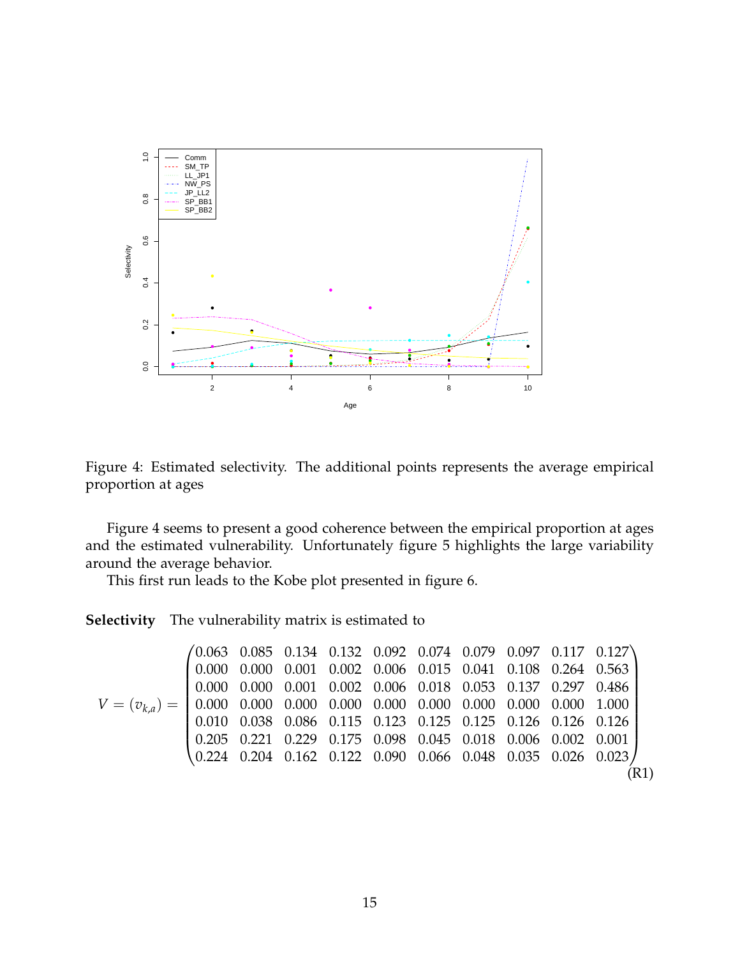

Figure 4: Estimated selectivity. The additional points represents the average empirical proportion at ages

Figure 4 seems to present a good coherence between the empirical proportion at ages and the estimated vulnerability. Unfortunately figure 5 highlights the large variability around the average behavior.

This first run leads to the Kobe plot presented in figure 6.

**Selectivity** The vulnerability matrix is estimated to

$$
V = (v_{k,a}) = \begin{pmatrix} 0.063 & 0.085 & 0.134 & 0.132 & 0.092 & 0.074 & 0.079 & 0.097 & 0.117 & 0.127 \\ 0.000 & 0.000 & 0.001 & 0.002 & 0.006 & 0.015 & 0.041 & 0.108 & 0.264 & 0.563 \\ 0.000 & 0.000 & 0.001 & 0.002 & 0.006 & 0.018 & 0.053 & 0.137 & 0.297 & 0.486 \\ 0.000 & 0.000 & 0.000 & 0.000 & 0.000 & 0.000 & 0.000 & 0.000 & 0.000 \\ 0.010 & 0.038 & 0.086 & 0.115 & 0.123 & 0.125 & 0.125 & 0.126 & 0.126 & 0.126 \\ 0.205 & 0.221 & 0.229 & 0.175 & 0.098 & 0.045 & 0.018 & 0.006 & 0.002 & 0.001 \\ 0.224 & 0.204 & 0.162 & 0.122 & 0.090 & 0.066 & 0.048 & 0.035 & 0.026 & 0.023 \end{pmatrix} \tag{R1}
$$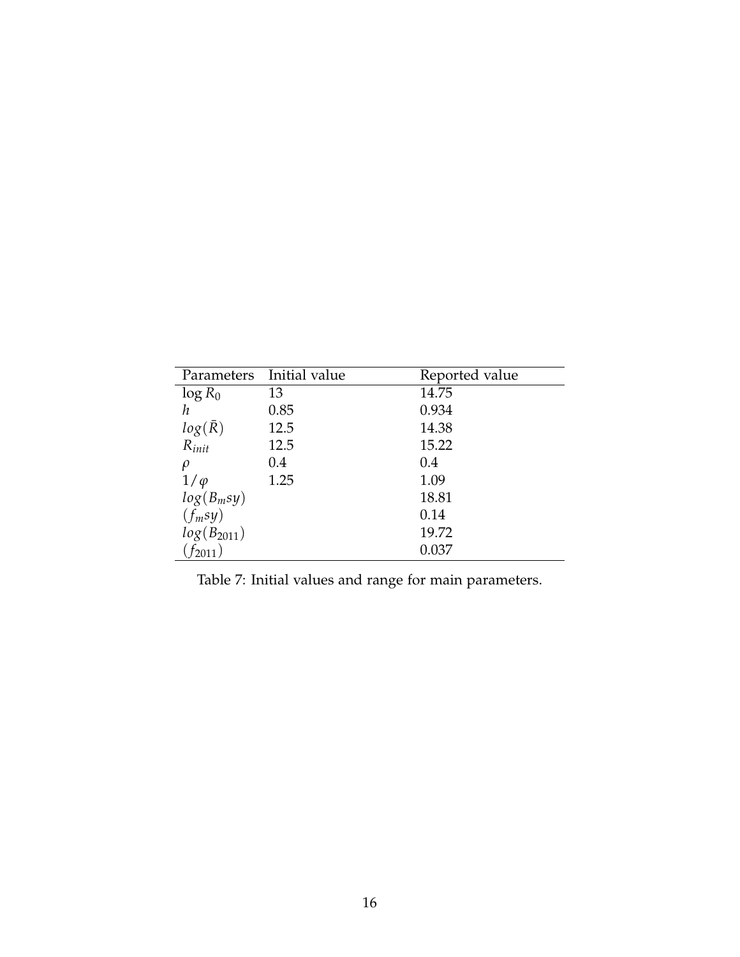|                 | Parameters Initial value | Reported value |
|-----------------|--------------------------|----------------|
| $\log R_0$      | 13                       | 14.75          |
| h               | 0.85                     | 0.934          |
| $log(\bar{R})$  | 12.5                     | 14.38          |
| $R_{init}$      | 12.5                     | 15.22          |
| ρ               | 0.4                      | 0.4            |
| $1/\varphi$     | 1.25                     | 1.09           |
| $log(B_m sy)$   |                          | 18.81          |
| $(f_m sy)$      |                          | 0.14           |
| $log(B_{2011})$ |                          | 19.72          |
| $f_{2011}$ )    |                          | 0.037          |

Table 7: Initial values and range for main parameters.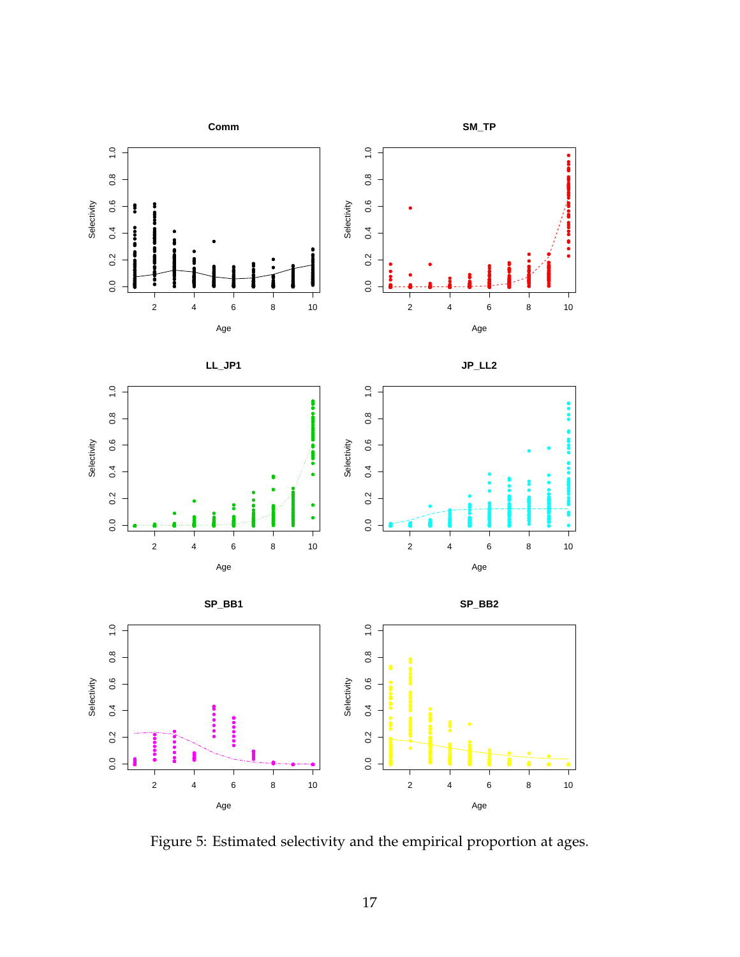

Figure 5: Estimated selectivity and the empirical proportion at ages.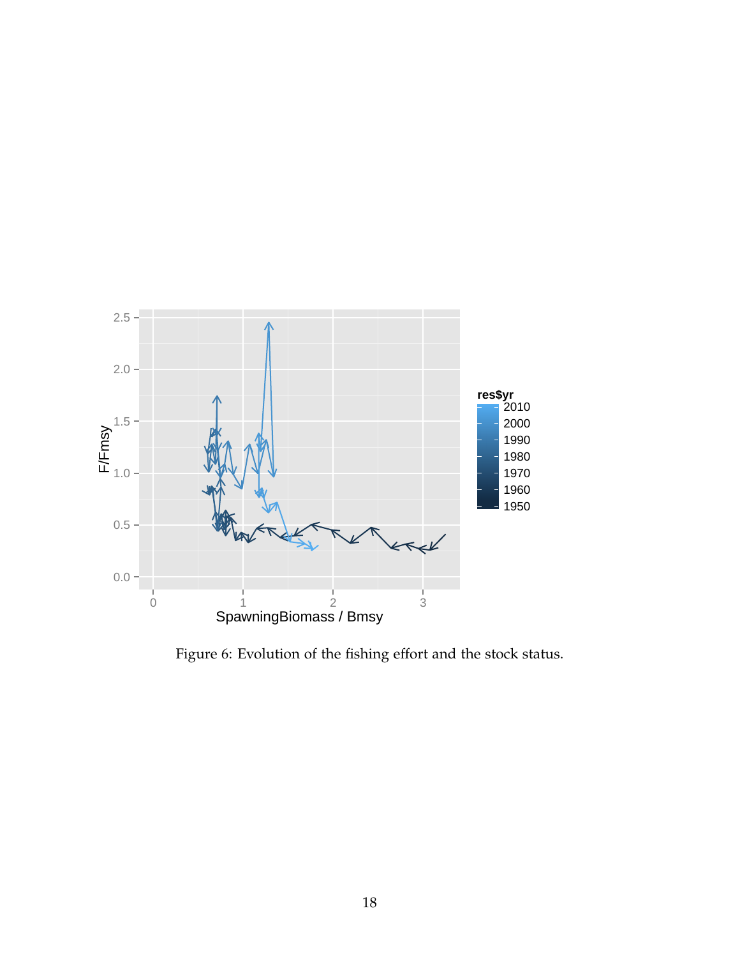

Figure 6: Evolution of the fishing effort and the stock status.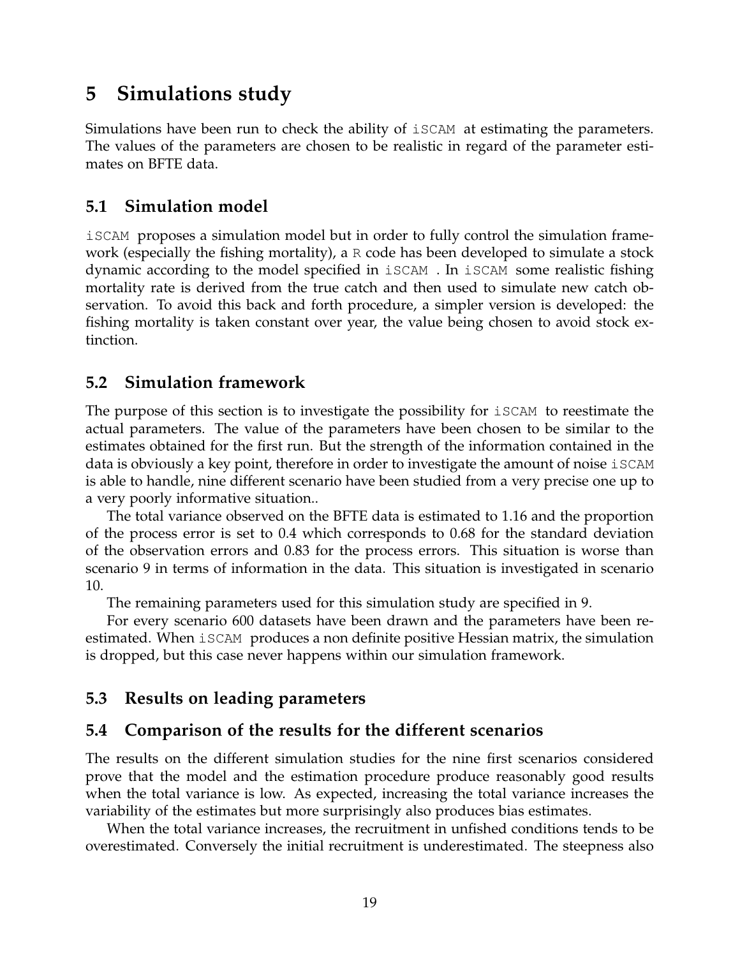# **5 Simulations study**

Simulations have been run to check the ability of iSCAM at estimating the parameters. The values of the parameters are chosen to be realistic in regard of the parameter estimates on BFTE data.

# **5.1 Simulation model**

iSCAM proposes a simulation model but in order to fully control the simulation framework (especially the fishing mortality), a  $R$  code has been developed to simulate a stock dynamic according to the model specified in iSCAM . In iSCAM some realistic fishing mortality rate is derived from the true catch and then used to simulate new catch observation. To avoid this back and forth procedure, a simpler version is developed: the fishing mortality is taken constant over year, the value being chosen to avoid stock extinction.

# **5.2 Simulation framework**

The purpose of this section is to investigate the possibility for  $i$  scam to reestimate the actual parameters. The value of the parameters have been chosen to be similar to the estimates obtained for the first run. But the strength of the information contained in the data is obviously a key point, therefore in order to investigate the amount of noise iSCAM is able to handle, nine different scenario have been studied from a very precise one up to a very poorly informative situation..

The total variance observed on the BFTE data is estimated to 1.16 and the proportion of the process error is set to 0.4 which corresponds to 0.68 for the standard deviation of the observation errors and 0.83 for the process errors. This situation is worse than scenario 9 in terms of information in the data. This situation is investigated in scenario 10.

The remaining parameters used for this simulation study are specified in 9.

For every scenario 600 datasets have been drawn and the parameters have been reestimated. When iSCAM produces a non definite positive Hessian matrix, the simulation is dropped, but this case never happens within our simulation framework.

# **5.3 Results on leading parameters**

# **5.4 Comparison of the results for the different scenarios**

The results on the different simulation studies for the nine first scenarios considered prove that the model and the estimation procedure produce reasonably good results when the total variance is low. As expected, increasing the total variance increases the variability of the estimates but more surprisingly also produces bias estimates.

When the total variance increases, the recruitment in unfished conditions tends to be overestimated. Conversely the initial recruitment is underestimated. The steepness also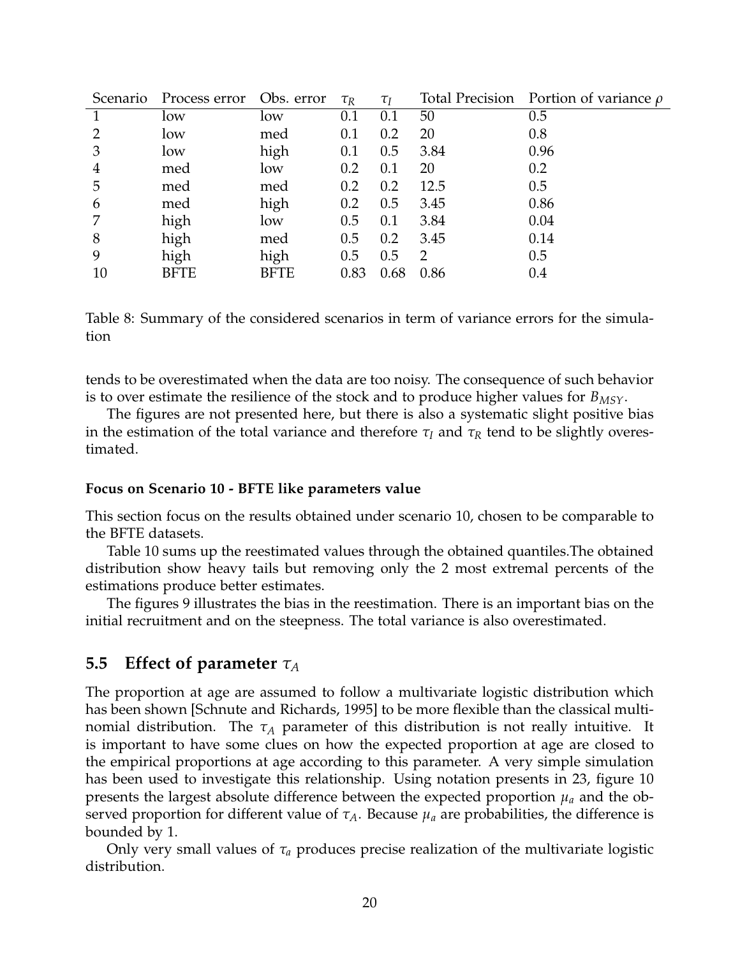| Scenario | Process error Obs. error |             | $\tau_R$ | $\tau_I$ |      | Total Precision Portion of variance $\rho$ |
|----------|--------------------------|-------------|----------|----------|------|--------------------------------------------|
|          | low                      | low         | 0.1      | 0.1      | 50   | 0.5                                        |
|          | low                      | med         | 0.1      | 0.2      | 20   | 0.8                                        |
| 3        | low                      | high        | 0.1      | 0.5      | 3.84 | 0.96                                       |
| 4        | med                      | low         | 0.2      | 0.1      | 20   | 0.2                                        |
| 5        | med                      | med         | 0.2      | 0.2      | 12.5 | 0.5                                        |
| 6        | med                      | high        | 0.2      | 0.5      | 3.45 | 0.86                                       |
|          | high                     | low         | 0.5      | 0.1      | 3.84 | 0.04                                       |
| 8        | high                     | med         | 0.5      | 0.2      | 3.45 | 0.14                                       |
| 9        | high                     | high        | 0.5      | 0.5      | 2    | 0.5                                        |
| 10       | <b>BFTE</b>              | <b>BFTE</b> | 0.83     | 0.68     | 0.86 | 0.4                                        |

Table 8: Summary of the considered scenarios in term of variance errors for the simulation

tends to be overestimated when the data are too noisy. The consequence of such behavior is to over estimate the resilience of the stock and to produce higher values for *BMSY*.

The figures are not presented here, but there is also a systematic slight positive bias in the estimation of the total variance and therefore  $\tau_I$  and  $\tau_R$  tend to be slightly overestimated.

#### **Focus on Scenario 10 - BFTE like parameters value**

This section focus on the results obtained under scenario 10, chosen to be comparable to the BFTE datasets.

Table 10 sums up the reestimated values through the obtained quantiles.The obtained distribution show heavy tails but removing only the 2 most extremal percents of the estimations produce better estimates.

The figures 9 illustrates the bias in the reestimation. There is an important bias on the initial recruitment and on the steepness. The total variance is also overestimated.

### **5.5 Effect of parameter** *τ<sup>A</sup>*

The proportion at age are assumed to follow a multivariate logistic distribution which has been shown [Schnute and Richards, 1995] to be more flexible than the classical multinomial distribution. The  $\tau_A$  parameter of this distribution is not really intuitive. It is important to have some clues on how the expected proportion at age are closed to the empirical proportions at age according to this parameter. A very simple simulation has been used to investigate this relationship. Using notation presents in 23, figure 10 presents the largest absolute difference between the expected proportion  $\mu_a$  and the observed proportion for different value of  $\tau_A$ . Because  $\mu_a$  are probabilities, the difference is bounded by 1.

Only very small values of  $\tau_a$  produces precise realization of the multivariate logistic distribution.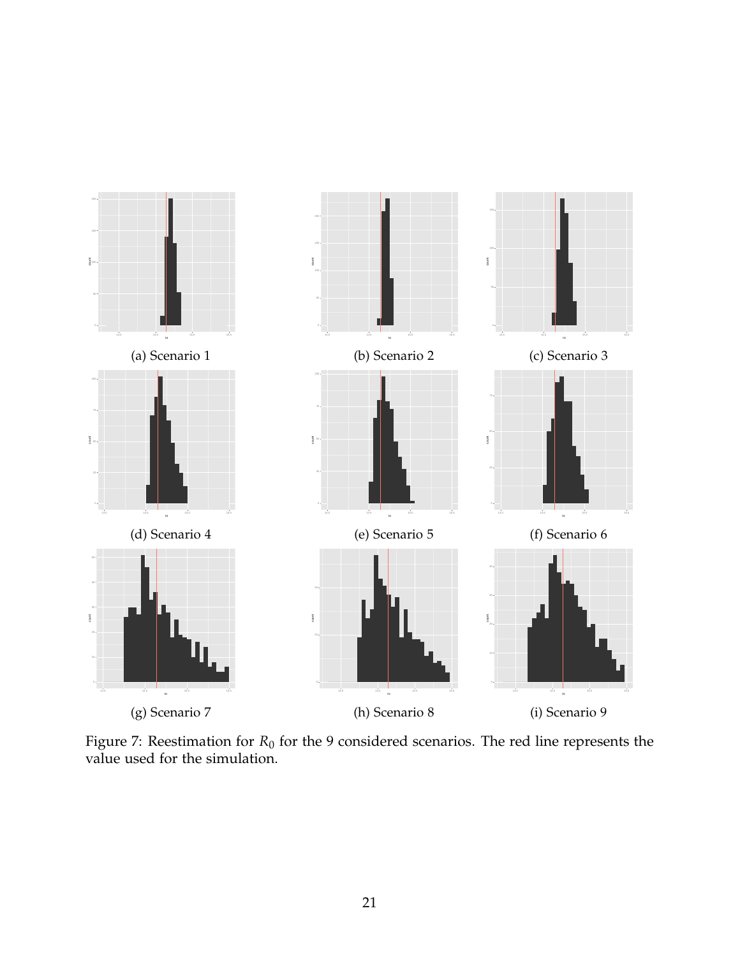

Figure 7: Reestimation for  $R_0$  for the 9 considered scenarios. The red line represents the value used for the simulation.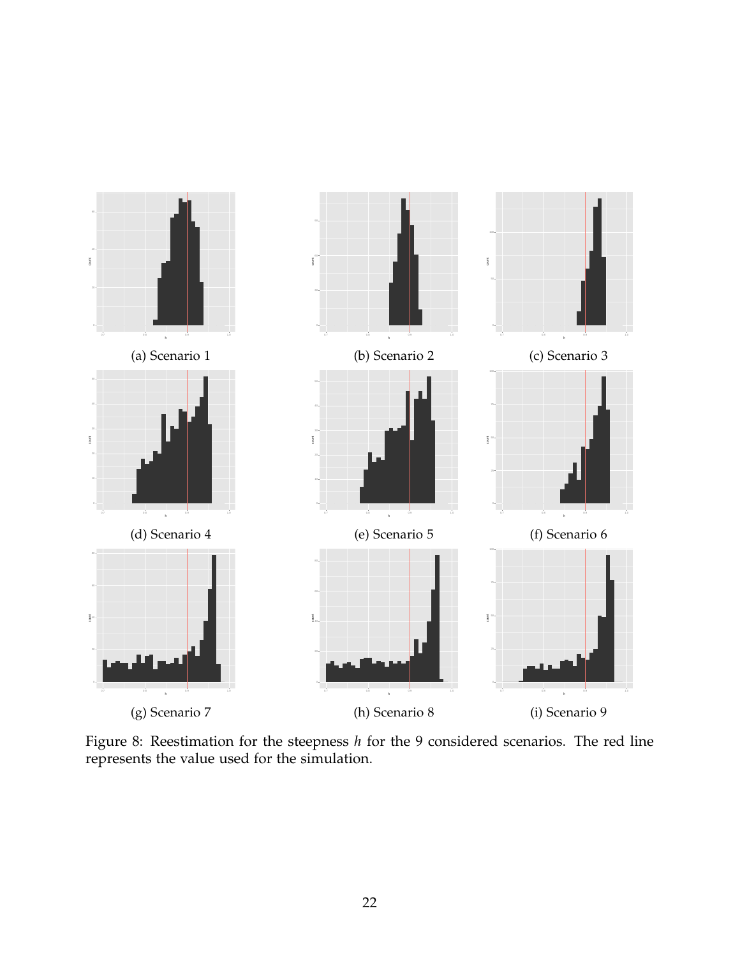

Figure 8: Reestimation for the steepness *h* for the 9 considered scenarios. The red line represents the value used for the simulation.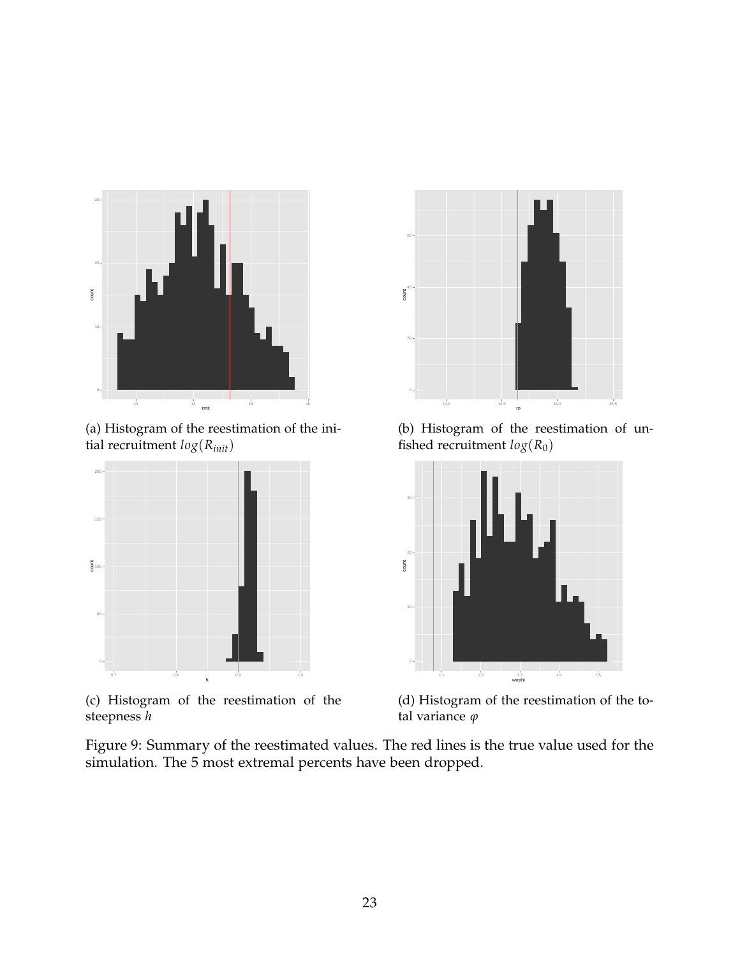

(a) Histogram of the reestimation of the initial recruitment *log*(*Rinit*)



(c) Histogram of the reestimation of the steepness *h*



(b) Histogram of the reestimation of unfished recruitment  $log(R_0)$ 



(d) Histogram of the reestimation of the total variance *ϕ*

Figure 9: Summary of the reestimated values. The red lines is the true value used for the simulation. The 5 most extremal percents have been dropped.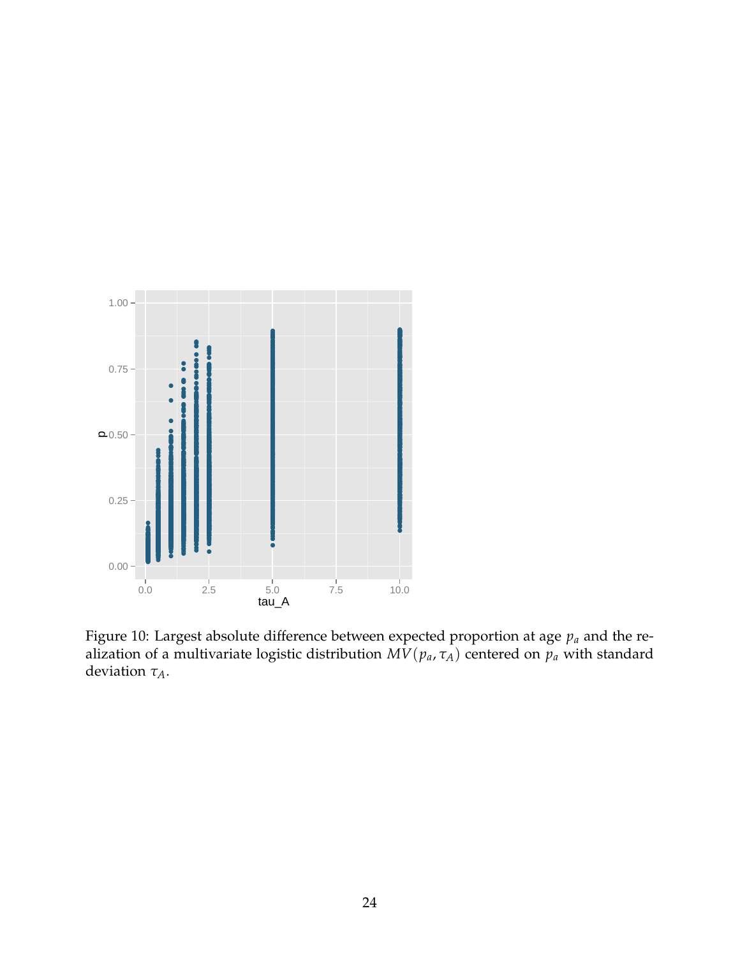

Figure 10: Largest absolute difference between expected proportion at age  $p_a$  and the realization of a multivariate logistic distribution  $MV(p_a, \tau_A)$  centered on  $p_a$  with standard deviation  $\tau_A$ .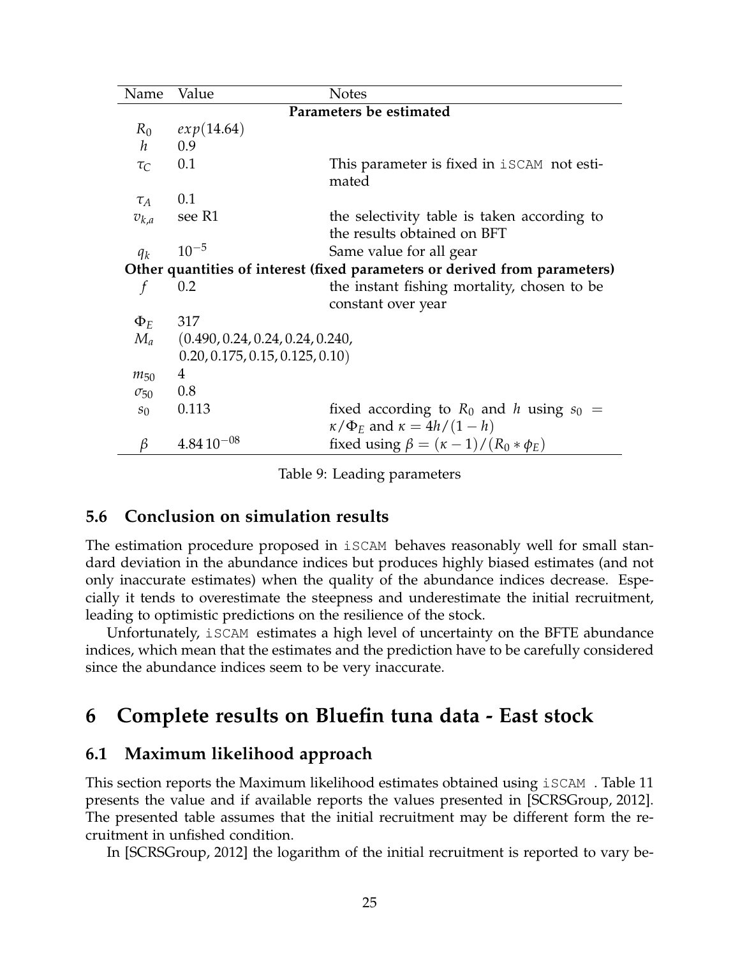| Name                                                                       | Value                            | <b>Notes</b>                                                               |  |  |  |  |
|----------------------------------------------------------------------------|----------------------------------|----------------------------------------------------------------------------|--|--|--|--|
| Parameters be estimated                                                    |                                  |                                                                            |  |  |  |  |
| $R_0$                                                                      | exp(14.64)                       |                                                                            |  |  |  |  |
| $\boldsymbol{h}$                                                           | 0.9                              |                                                                            |  |  |  |  |
| $\tau_C$                                                                   | 0.1                              | This parameter is fixed in <b>iSCAM</b> not esti-<br>mated                 |  |  |  |  |
| $\tau_A$                                                                   | 0.1                              |                                                                            |  |  |  |  |
| $v_{k,a}$                                                                  | see R1                           | the selectivity table is taken according to<br>the results obtained on BFT |  |  |  |  |
| $q_k$                                                                      | $10^{-5}$                        | Same value for all gear                                                    |  |  |  |  |
| Other quantities of interest (fixed parameters or derived from parameters) |                                  |                                                                            |  |  |  |  |
| f                                                                          | 0.2                              | the instant fishing mortality, chosen to be                                |  |  |  |  |
|                                                                            |                                  | constant over year                                                         |  |  |  |  |
| $\Phi_E$                                                                   | 317                              |                                                                            |  |  |  |  |
| $M_a$                                                                      | (0.490, 0.24, 0.24, 0.24, 0.240, |                                                                            |  |  |  |  |
|                                                                            | 0.20, 0.175, 0.15, 0.125, 0.10)  |                                                                            |  |  |  |  |
| $m_{50}$                                                                   | 4                                |                                                                            |  |  |  |  |
| $\sigma_{50}$                                                              | 0.8                              |                                                                            |  |  |  |  |
| $s_0$                                                                      | 0.113                            | fixed according to $R_0$ and h using $s_0 =$                               |  |  |  |  |
|                                                                            |                                  | $\kappa/\Phi_E$ and $\kappa = 4h/(1-h)$                                    |  |  |  |  |
| β                                                                          | $4.84\,10^{-08}$                 | fixed using $\beta = (\kappa - 1)/(R_0 * \phi_E)$                          |  |  |  |  |

Table 9: Leading parameters

### **5.6 Conclusion on simulation results**

The estimation procedure proposed in iSCAM behaves reasonably well for small standard deviation in the abundance indices but produces highly biased estimates (and not only inaccurate estimates) when the quality of the abundance indices decrease. Especially it tends to overestimate the steepness and underestimate the initial recruitment, leading to optimistic predictions on the resilience of the stock.

Unfortunately, iSCAM estimates a high level of uncertainty on the BFTE abundance indices, which mean that the estimates and the prediction have to be carefully considered since the abundance indices seem to be very inaccurate.

# **6 Complete results on Bluefin tuna data - East stock**

### **6.1 Maximum likelihood approach**

This section reports the Maximum likelihood estimates obtained using iSCAM . Table 11 presents the value and if available reports the values presented in [SCRSGroup, 2012]. The presented table assumes that the initial recruitment may be different form the recruitment in unfished condition.

In [SCRSGroup, 2012] the logarithm of the initial recruitment is reported to vary be-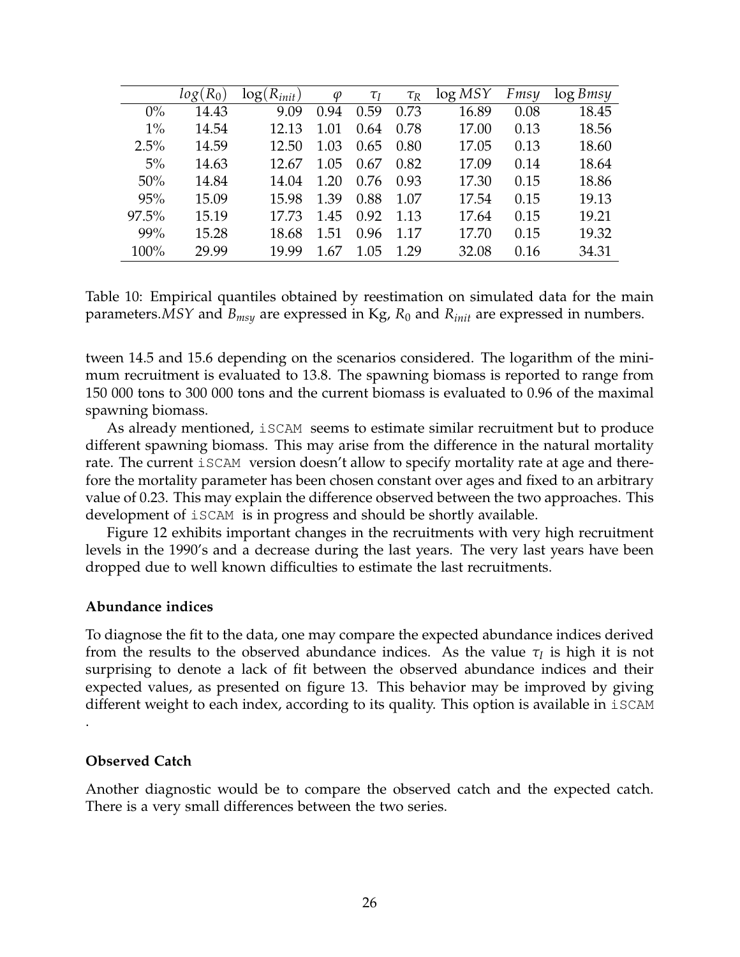|       | $(R_0)$<br>log( | $log(R_{init})$ | $\varphi$ | $\tau_I$ | $\tau_R$ | log MSY | Fmsy | $\log B$ <i>msy</i> |
|-------|-----------------|-----------------|-----------|----------|----------|---------|------|---------------------|
| $0\%$ | 14.43           | 9.09            | 0.94      | 0.59     | 0.73     | 16.89   | 0.08 | 18.45               |
| $1\%$ | 14.54           | 12.13           | 1.01      | 0.64     | 0.78     | 17.00   | 0.13 | 18.56               |
| 2.5%  | 14.59           | 12.50           | 1.03      | 0.65     | 0.80     | 17.05   | 0.13 | 18.60               |
| $5\%$ | 14.63           | 12.67           | 1.05      | 0.67     | 0.82     | 17.09   | 0.14 | 18.64               |
| 50%   | 14.84           | 14.04           | 1.20      | 0.76     | 0.93     | 17.30   | 0.15 | 18.86               |
| 95%   | 15.09           | 15.98           | 1.39      | 0.88     | 1.07     | 17.54   | 0.15 | 19.13               |
| 97.5% | 15.19           | 17.73           | 1.45      | 0.92     | 1.13     | 17.64   | 0.15 | 19.21               |
| 99%   | 15.28           | 18.68           | 1.51      | 0.96     | 1.17     | 17.70   | 0.15 | 19.32               |
| 100%  | 29.99           | 19.99           | 1 67      | 1.05     | 1.29     | 32.08   | 0.16 | 34.31               |

Table 10: Empirical quantiles obtained by reestimation on simulated data for the main parameters.*MSY* and *Bmsy* are expressed in Kg, *R*<sup>0</sup> and *Rinit* are expressed in numbers.

tween 14.5 and 15.6 depending on the scenarios considered. The logarithm of the minimum recruitment is evaluated to 13.8. The spawning biomass is reported to range from 150 000 tons to 300 000 tons and the current biomass is evaluated to 0.96 of the maximal spawning biomass.

As already mentioned, iSCAM seems to estimate similar recruitment but to produce different spawning biomass. This may arise from the difference in the natural mortality rate. The current iSCAM version doesn't allow to specify mortality rate at age and therefore the mortality parameter has been chosen constant over ages and fixed to an arbitrary value of 0.23. This may explain the difference observed between the two approaches. This development of iSCAM is in progress and should be shortly available.

Figure 12 exhibits important changes in the recruitments with very high recruitment levels in the 1990's and a decrease during the last years. The very last years have been dropped due to well known difficulties to estimate the last recruitments.

#### **Abundance indices**

To diagnose the fit to the data, one may compare the expected abundance indices derived from the results to the observed abundance indices. As the value  $\tau_I$  is high it is not surprising to denote a lack of fit between the observed abundance indices and their expected values, as presented on figure 13. This behavior may be improved by giving different weight to each index, according to its quality. This option is available in iSCAM

#### **Observed Catch**

.

Another diagnostic would be to compare the observed catch and the expected catch. There is a very small differences between the two series.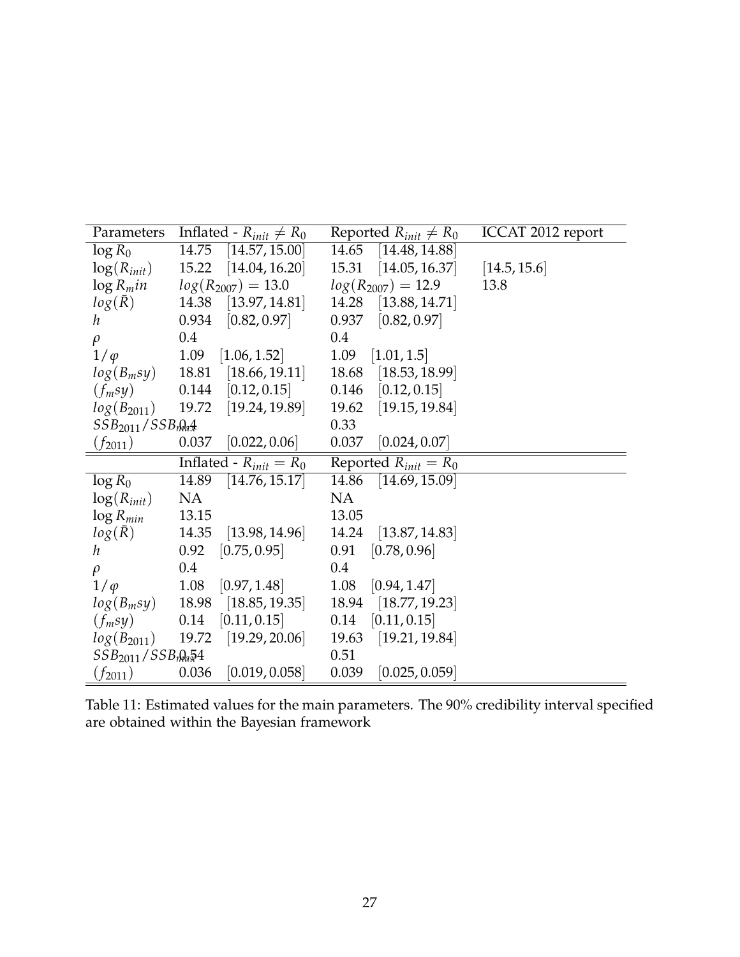| Parameters                          | Inflated - $R_{init} \neq R_0$       | Reported $R_{init} \neq R_0$ | ICCAT 2012 report |
|-------------------------------------|--------------------------------------|------------------------------|-------------------|
| $\log R_0$                          | 14.75<br>[14.57, 15.00]              | 14.65<br>[14.48, 14.88]      |                   |
| $\log(R_{init})$                    | 15.22 [14.04, 16.20]                 | 15.31 [14.05, 16.37]         | [14.5, 15.6]      |
| $\log R_m$ in                       | $log(R_{2007}) = 13.0$               | $log(R_{2007}) = 12.9$       | 13.8              |
| $log(\bar{R})$                      | 14.38 [13.97, 14.81]                 | 14.28 [13.88, 14.71]         |                   |
| $\hbar$                             | $0.934$ [0.82, 0.97]                 | $0.937$ [0.82, 0.97]         |                   |
| $\rho$                              | 0.4                                  | $0.4\,$                      |                   |
| $1/\varphi$                         | 1.09<br>[1.06, 1.52]                 | $1.09$ [1.01, 1.5]           |                   |
| $log(B_m sy)$                       | 18.81 [18.66, 19.11]                 | [18.53, 18.99]<br>18.68      |                   |
| $(f_m sy)$                          | $0.144$ [0.12, 0.15]                 | $0.146$ [0.12, 0.15]         |                   |
|                                     | $log(B_{2011})$ 19.72 [19.24, 19.89] | 19.62 [19.15, 19.84]         |                   |
| $SSB_{2011}/SSB_{\text{max}}$       |                                      | 0.33                         |                   |
| $(f_{2011})$                        | $[0.037 \quad [0.022, 0.06]$         | $0.037$ [0.024, 0.07]        |                   |
|                                     |                                      |                              |                   |
|                                     | Inflated - $R_{init} = R_0$          | Reported $R_{init} = R_0$    |                   |
| $\log R_0$                          | 14.89<br>[14.76, 15.17]              | 14.86 [14.69, 15.09]         |                   |
| $log(R_{init})$                     | NA                                   | NA                           |                   |
| $\log R_{min}$                      | 13.15                                | 13.05                        |                   |
| $log(\bar{R})$                      | 14.35<br>[13.98, 14.96]              | 14.24 [13.87, 14.83]         |                   |
| h                                   | $[0.92 \quad [0.75, 0.95]$           | $[0.91 \quad [0.78, 0.96]$   |                   |
| $\rho$                              | $0.4\,$                              | 0.4                          |                   |
| $1/\varphi$                         | $1.08$ [0.97, 1.48]                  | $1.08$ [0.94, 1.47]          |                   |
| $log(B_m sy)$                       | 18.98 [18.85, 19.35]                 | 18.94 [18.77, 19.23]         |                   |
| $(f_m sy)$                          | [0.11, 0.15]<br>0.14                 | $[0.14 \quad [0.11, 0.15]$   |                   |
|                                     | $log(B_{2011})$ 19.72 [19.29, 20.06] | 19.63 [19.21, 19.84]         |                   |
| $SSB_{2011}/SSB_{\eta}$ $\approx 4$ |                                      | 0.51<br>[0.025, 0.059]       |                   |

Table 11: Estimated values for the main parameters. The 90% credibility interval specified are obtained within the Bayesian framework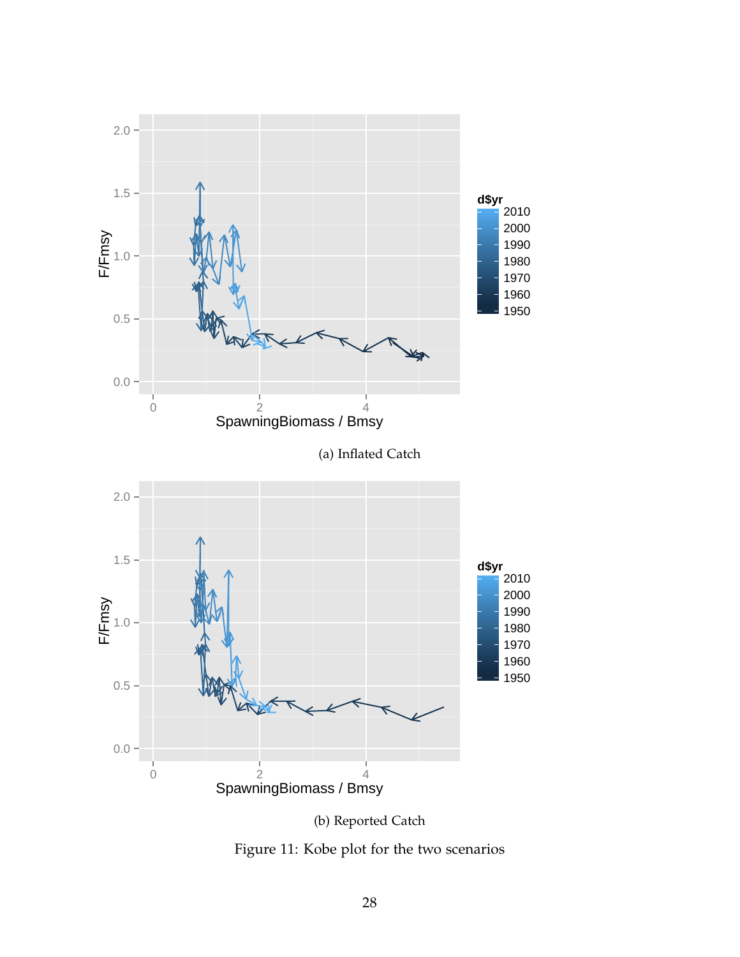



Figure 11: Kobe plot for the two scenarios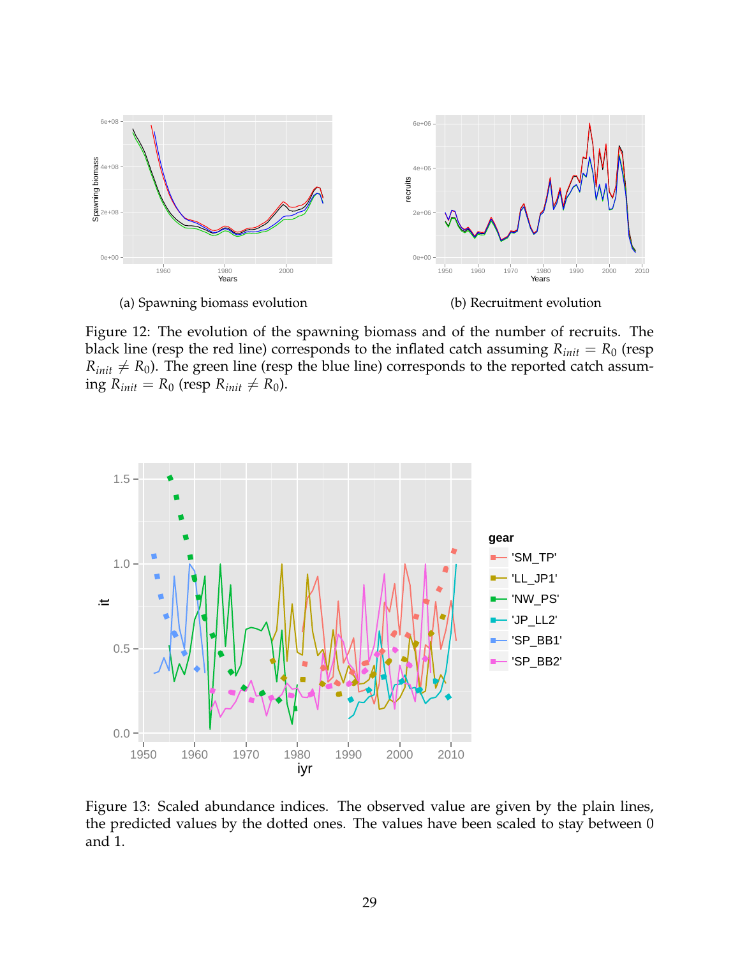

Figure 12: The evolution of the spawning biomass and of the number of recruits. The black line (resp the red line) corresponds to the inflated catch assuming  $R_{init} = R_0$  (resp  $R_{init} \neq R_0$ ). The green line (resp the blue line) corresponds to the reported catch assuming  $R_{init} = R_0$  (resp  $R_{init} \neq R_0$ ).



Figure 13: Scaled abundance indices. The observed value are given by the plain lines, the predicted values by the dotted ones. The values have been scaled to stay between 0 and 1.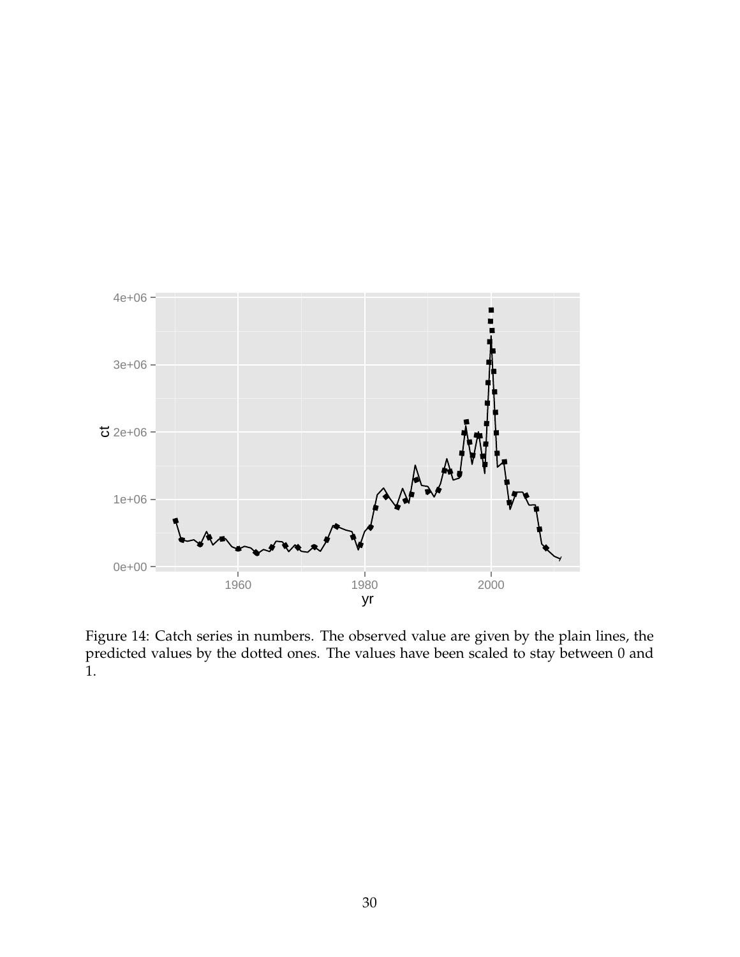

Figure 14: Catch series in numbers. The observed value are given by the plain lines, the predicted values by the dotted ones. The values have been scaled to stay between 0 and 1.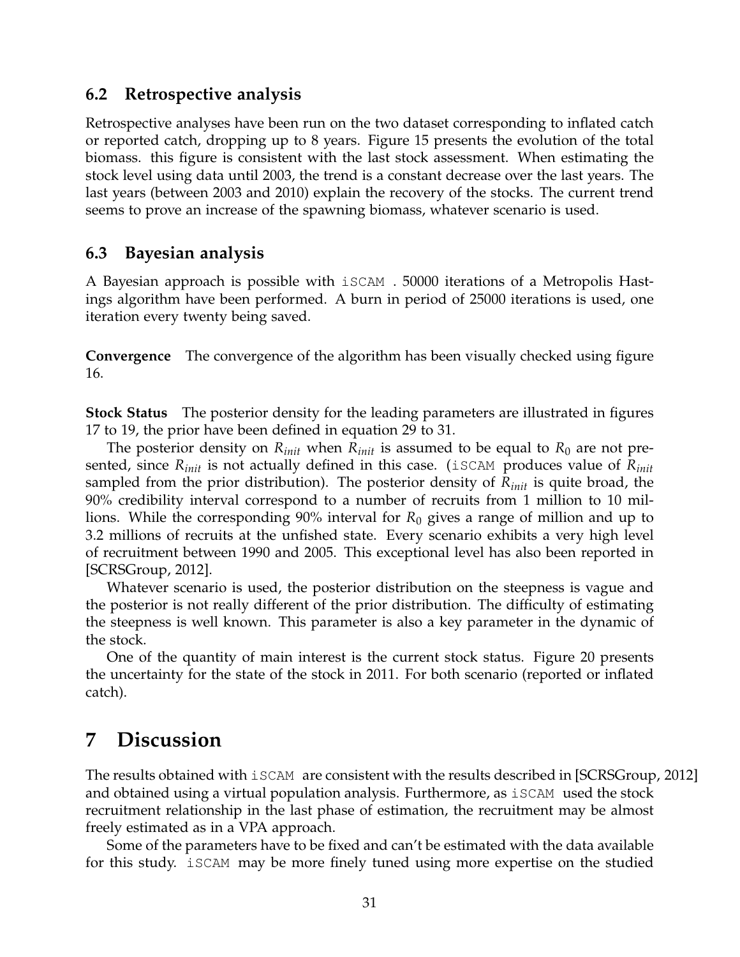### **6.2 Retrospective analysis**

Retrospective analyses have been run on the two dataset corresponding to inflated catch or reported catch, dropping up to 8 years. Figure 15 presents the evolution of the total biomass. this figure is consistent with the last stock assessment. When estimating the stock level using data until 2003, the trend is a constant decrease over the last years. The last years (between 2003 and 2010) explain the recovery of the stocks. The current trend seems to prove an increase of the spawning biomass, whatever scenario is used.

### **6.3 Bayesian analysis**

A Bayesian approach is possible with iSCAM . 50000 iterations of a Metropolis Hastings algorithm have been performed. A burn in period of 25000 iterations is used, one iteration every twenty being saved.

**Convergence** The convergence of the algorithm has been visually checked using figure 16.

**Stock Status** The posterior density for the leading parameters are illustrated in figures 17 to 19, the prior have been defined in equation 29 to 31.

The posterior density on  $R_{init}$  when  $R_{init}$  is assumed to be equal to  $R_0$  are not presented, since *Rinit* is not actually defined in this case. (iSCAM produces value of *Rinit* sampled from the prior distribution). The posterior density of *Rinit* is quite broad, the 90% credibility interval correspond to a number of recruits from 1 million to 10 millions. While the corresponding 90% interval for *R*<sup>0</sup> gives a range of million and up to 3.2 millions of recruits at the unfished state. Every scenario exhibits a very high level of recruitment between 1990 and 2005. This exceptional level has also been reported in [SCRSGroup, 2012].

Whatever scenario is used, the posterior distribution on the steepness is vague and the posterior is not really different of the prior distribution. The difficulty of estimating the steepness is well known. This parameter is also a key parameter in the dynamic of the stock.

One of the quantity of main interest is the current stock status. Figure 20 presents the uncertainty for the state of the stock in 2011. For both scenario (reported or inflated catch).

# **7 Discussion**

The results obtained with  $i$  SCAM are consistent with the results described in [SCRSGroup, 2012] and obtained using a virtual population analysis. Furthermore, as iSCAM used the stock recruitment relationship in the last phase of estimation, the recruitment may be almost freely estimated as in a VPA approach.

Some of the parameters have to be fixed and can't be estimated with the data available for this study. iSCAM may be more finely tuned using more expertise on the studied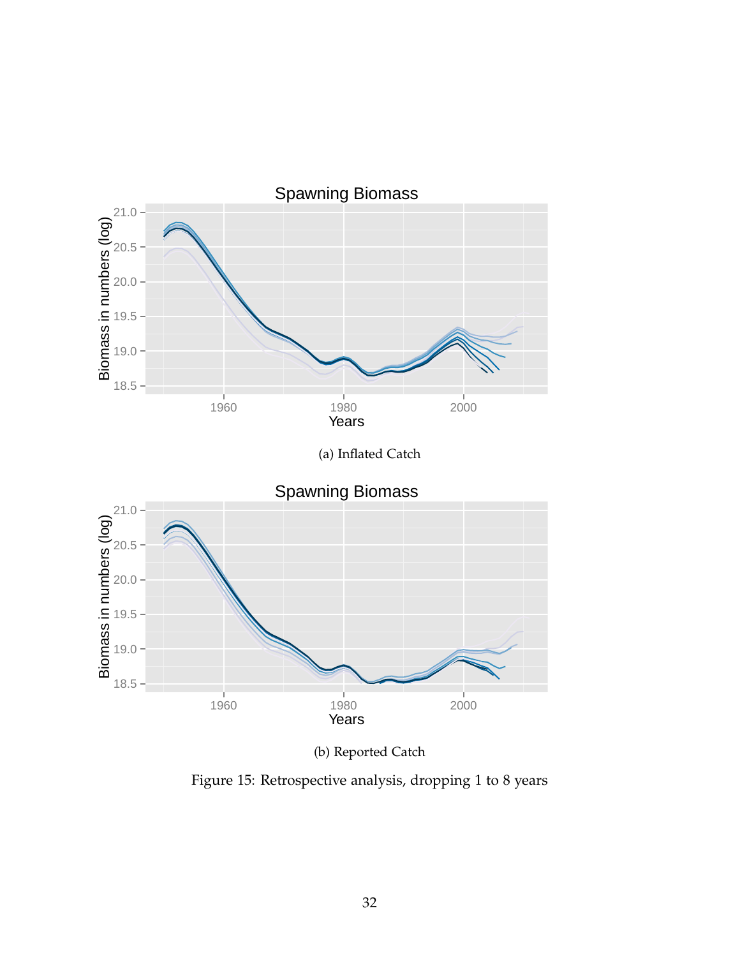

(b) Reported Catch

Figure 15: Retrospective analysis, dropping 1 to 8 years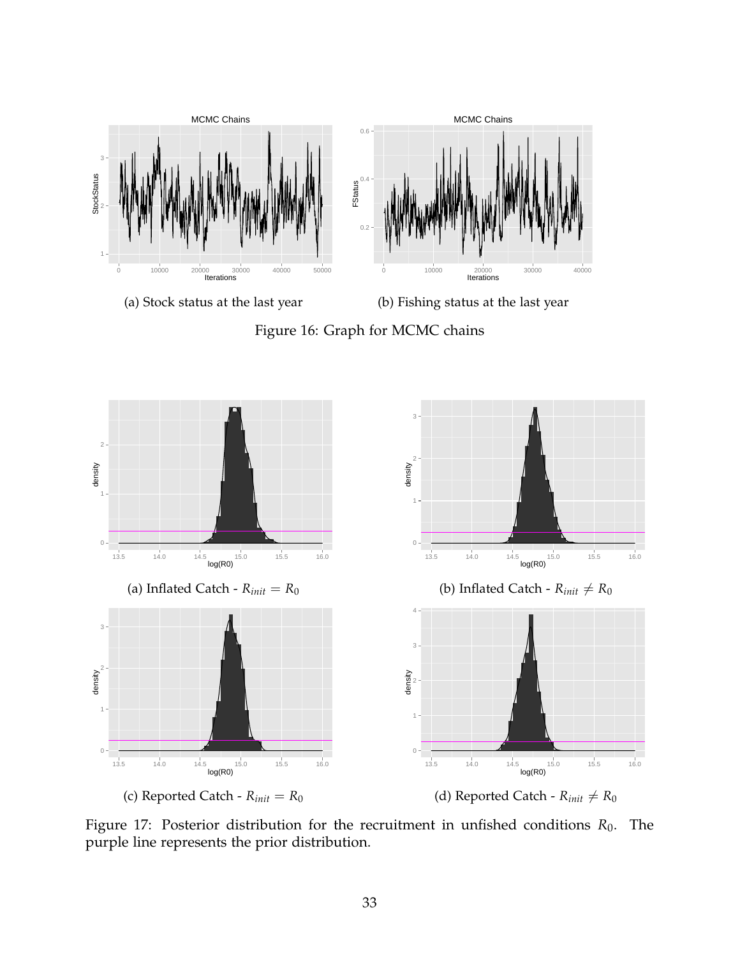

(a) Stock status at the last year

(b) Fishing status at the last year

Figure 16: Graph for MCMC chains



Figure 17: Posterior distribution for the recruitment in unfished conditions  $R_0$ . The purple line represents the prior distribution.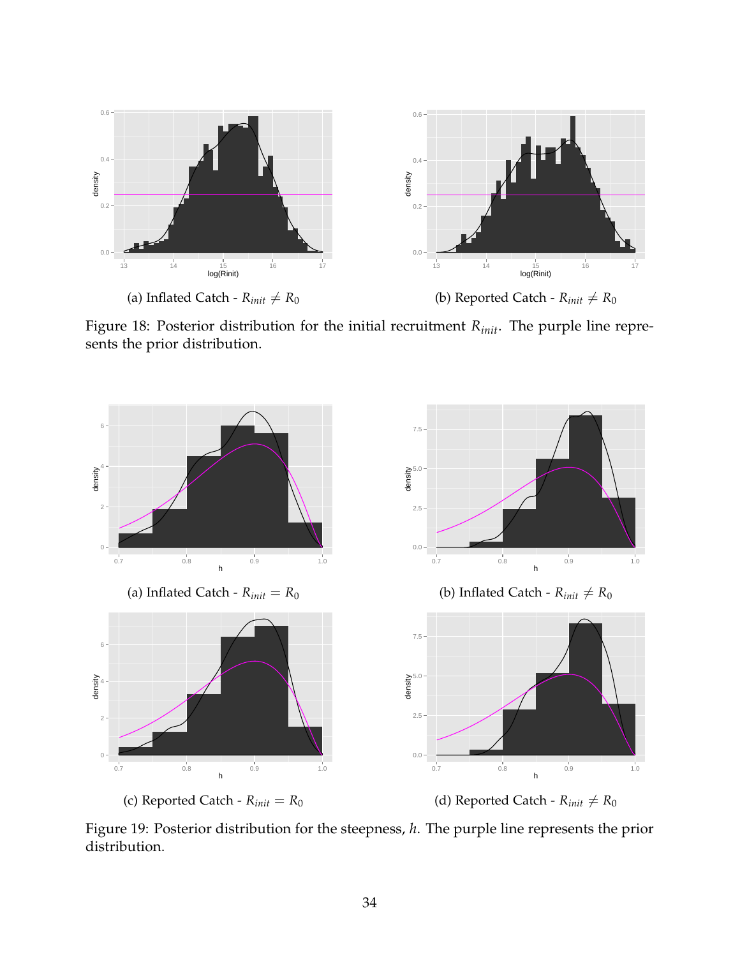

Figure 18: Posterior distribution for the initial recruitment *Rinit*. The purple line represents the prior distribution.



Figure 19: Posterior distribution for the steepness, *h*. The purple line represents the prior distribution.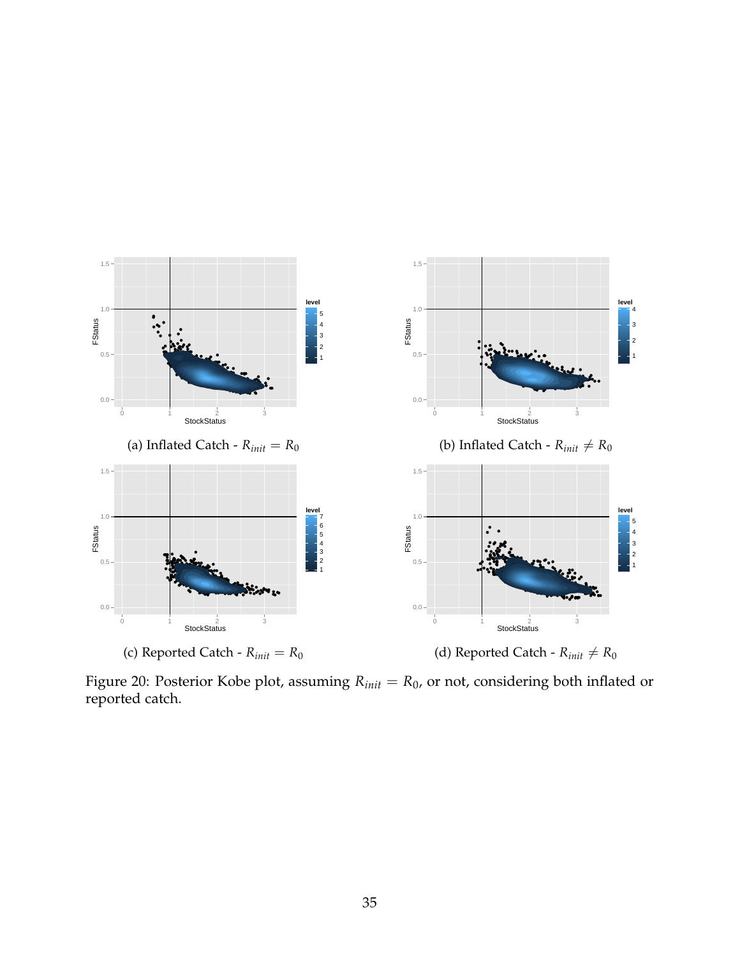

Figure 20: Posterior Kobe plot, assuming  $R_{init} = R_0$ , or not, considering both inflated or reported catch.